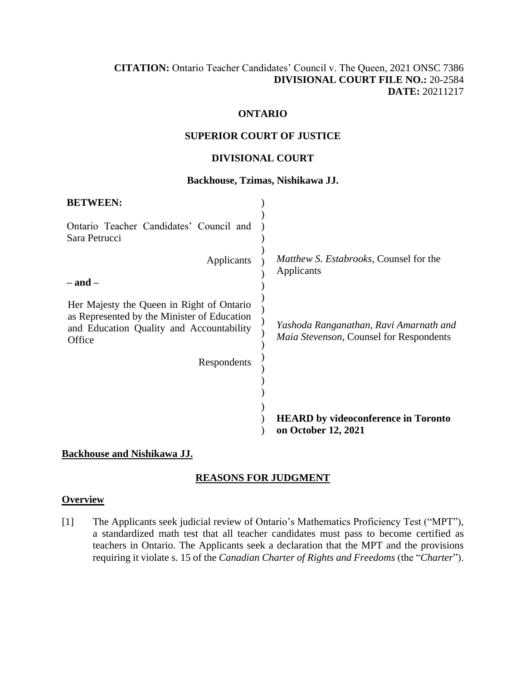# **CITATION:** Ontario Teacher Candidates' Council v. The Queen, 2021 ONSC 7386 **DIVISIONAL COURT FILE NO.:** 20-2584 **DATE:** 20211217

## **ONTARIO**

#### **SUPERIOR COURT OF JUSTICE**

## **DIVISIONAL COURT**

#### **Backhouse, Tzimas, Nishikawa JJ.**

| <b>BETWEEN:</b>                                                                                                                                |                                                                                          |
|------------------------------------------------------------------------------------------------------------------------------------------------|------------------------------------------------------------------------------------------|
| Ontario Teacher Candidates' Council and<br>Sara Petrucci                                                                                       |                                                                                          |
| Applicants                                                                                                                                     | <i>Matthew S. Estabrooks, Counsel for the</i><br>Applicants                              |
| – and –                                                                                                                                        |                                                                                          |
| Her Majesty the Queen in Right of Ontario<br>as Represented by the Minister of Education<br>and Education Quality and Accountability<br>Office | Yashoda Ranganathan, Ravi Amarnath and<br><i>Maia Stevenson, Counsel for Respondents</i> |
| Respondents                                                                                                                                    |                                                                                          |
|                                                                                                                                                |                                                                                          |
|                                                                                                                                                |                                                                                          |
|                                                                                                                                                | <b>HEARD</b> by videoconference in Toronto                                               |
|                                                                                                                                                | on October 12, 2021                                                                      |

#### **Backhouse and Nishikawa JJ.**

## **REASONS FOR JUDGMENT**

#### **Overview**

[1] The Applicants seek judicial review of Ontario's Mathematics Proficiency Test ("MPT"), a standardized math test that all teacher candidates must pass to become certified as teachers in Ontario. The Applicants seek a declaration that the MPT and the provisions requiring it violate s. 15 of the *Canadian Charter of Rights and Freedoms* (the "*Charter*").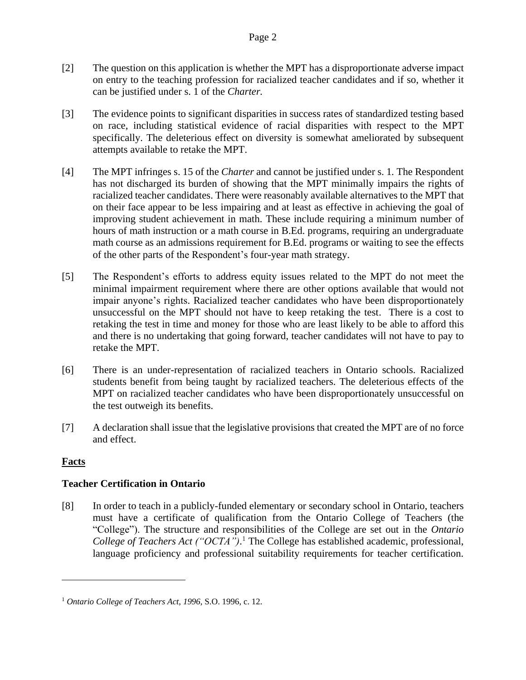- [2] The question on this application is whether the MPT has a disproportionate adverse impact on entry to the teaching profession for racialized teacher candidates and if so, whether it can be justified under s. 1 of the *Charter.*
- [3] The evidence points to significant disparities in success rates of standardized testing based on race, including statistical evidence of racial disparities with respect to the MPT specifically. The deleterious effect on diversity is somewhat ameliorated by subsequent attempts available to retake the MPT.
- [4] The MPT infringes s. 15 of the *Charter* and cannot be justified under s. 1*.* The Respondent has not discharged its burden of showing that the MPT minimally impairs the rights of racialized teacher candidates. There were reasonably available alternatives to the MPT that on their face appear to be less impairing and at least as effective in achieving the goal of improving student achievement in math. These include requiring a minimum number of hours of math instruction or a math course in B.Ed. programs, requiring an undergraduate math course as an admissions requirement for B.Ed. programs or waiting to see the effects of the other parts of the Respondent's four-year math strategy.
- [5] The Respondent's efforts to address equity issues related to the MPT do not meet the minimal impairment requirement where there are other options available that would not impair anyone's rights. Racialized teacher candidates who have been disproportionately unsuccessful on the MPT should not have to keep retaking the test. There is a cost to retaking the test in time and money for those who are least likely to be able to afford this and there is no undertaking that going forward, teacher candidates will not have to pay to retake the MPT.
- [6] There is an under-representation of racialized teachers in Ontario schools. Racialized students benefit from being taught by racialized teachers. The deleterious effects of the MPT on racialized teacher candidates who have been disproportionately unsuccessful on the test outweigh its benefits.
- [7] A declaration shall issue that the legislative provisions that created the MPT are of no force and effect.

# **Facts**

# **Teacher Certification in Ontario**

[8] In order to teach in a publicly-funded elementary or secondary school in Ontario, teachers must have a certificate of qualification from the Ontario College of Teachers (the "College"). The structure and responsibilities of the College are set out in the *Ontario College of Teachers Act ("OCTA")*. <sup>1</sup> The College has established academic, professional, language proficiency and professional suitability requirements for teacher certification.

<sup>1</sup> *Ontario College of Teachers Act*, *1996*, S.O. 1996, c. 12.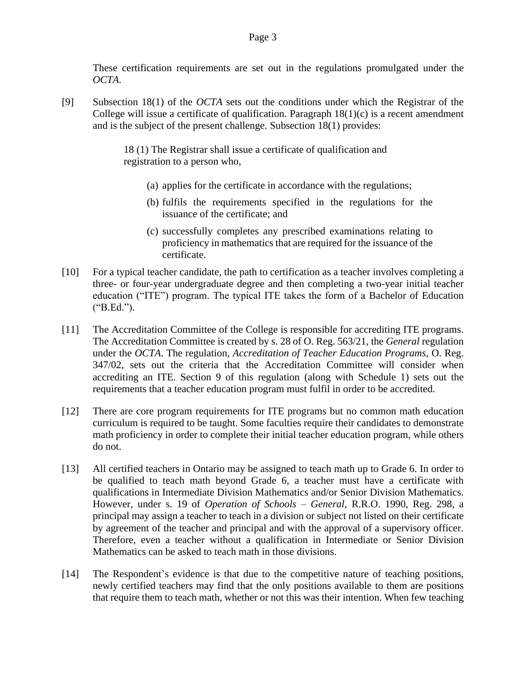These certification requirements are set out in the regulations promulgated under the *OCTA.*

[9] Subsection 18(1) of the *OCTA* sets out the conditions under which the Registrar of the College will issue a certificate of qualification. Paragraph  $18(1)(c)$  is a recent amendment and is the subject of the present challenge. Subsection 18(1) provides:

> 18 (1) The Registrar shall issue a certificate of qualification and registration to a person who,

- (a) applies for the certificate in accordance with the regulations;
- (b) fulfils the requirements specified in the regulations for the issuance of the certificate; and
- (c) successfully completes any prescribed examinations relating to proficiency in mathematics that are required for the issuance of the certificate.
- [10] For a typical teacher candidate, the path to certification as a teacher involves completing a three- or four-year undergraduate degree and then completing a two-year initial teacher education ("ITE") program. The typical ITE takes the form of a Bachelor of Education ("B.Ed.").
- [11] The Accreditation Committee of the College is responsible for accrediting ITE programs. The Accreditation Committee is created by s. 28 of O. Reg. 563/21, the *General* regulation under the *OCTA*. The regulation, *Accreditation of Teacher Education Programs*, O. Reg. 347/02, sets out the criteria that the Accreditation Committee will consider when accrediting an ITE. Section 9 of this regulation (along with Schedule 1) sets out the requirements that a teacher education program must fulfil in order to be accredited.
- [12] There are core program requirements for ITE programs but no common math education curriculum is required to be taught. Some faculties require their candidates to demonstrate math proficiency in order to complete their initial teacher education program, while others do not.
- [13] All certified teachers in Ontario may be assigned to teach math up to Grade 6. In order to be qualified to teach math beyond Grade 6, a teacher must have a certificate with qualifications in Intermediate Division Mathematics and/or Senior Division Mathematics. However, under s. 19 of *Operation of Schools – General*, R.R.O. 1990, Reg. 298, a principal may assign a teacher to teach in a division or subject not listed on their certificate by agreement of the teacher and principal and with the approval of a supervisory officer. Therefore, even a teacher without a qualification in Intermediate or Senior Division Mathematics can be asked to teach math in those divisions.
- [14] The Respondent's evidence is that due to the competitive nature of teaching positions, newly certified teachers may find that the only positions available to them are positions that require them to teach math, whether or not this was their intention. When few teaching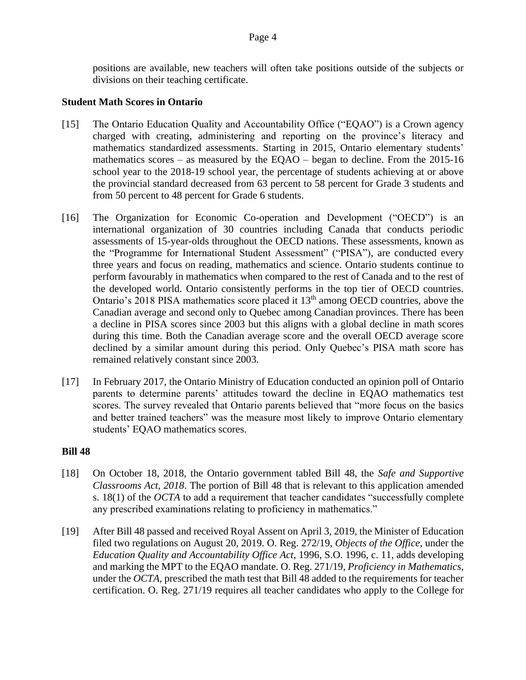positions are available, new teachers will often take positions outside of the subjects or divisions on their teaching certificate.

## **Student Math Scores in Ontario**

- [15] The Ontario Education Quality and Accountability Office ("EQAO") is a Crown agency charged with creating, administering and reporting on the province's literacy and mathematics standardized assessments. Starting in 2015, Ontario elementary students' mathematics scores – as measured by the EQAO – began to decline. From the 2015-16 school year to the 2018-19 school year, the percentage of students achieving at or above the provincial standard decreased from 63 percent to 58 percent for Grade 3 students and from 50 percent to 48 percent for Grade 6 students.
- [16] The Organization for Economic Co-operation and Development ("OECD") is an international organization of 30 countries including Canada that conducts periodic assessments of 15-year-olds throughout the OECD nations. These assessments, known as the "Programme for International Student Assessment" ("PISA"), are conducted every three years and focus on reading, mathematics and science. Ontario students continue to perform favourably in mathematics when compared to the rest of Canada and to the rest of the developed world. Ontario consistently performs in the top tier of OECD countries. Ontario's 2018 PISA mathematics score placed it  $13<sup>th</sup>$  among OECD countries, above the Canadian average and second only to Quebec among Canadian provinces. There has been a decline in PISA scores since 2003 but this aligns with a global decline in math scores during this time. Both the Canadian average score and the overall OECD average score declined by a similar amount during this period. Only Quebec's PISA math score has remained relatively constant since 2003.
- [17] In February 2017, the Ontario Ministry of Education conducted an opinion poll of Ontario parents to determine parents' attitudes toward the decline in EQAO mathematics test scores. The survey revealed that Ontario parents believed that "more focus on the basics and better trained teachers" was the measure most likely to improve Ontario elementary students' EQAO mathematics scores.

## **Bill 48**

- [18] On October 18, 2018, the Ontario government tabled Bill 48, the *Safe and Supportive Classrooms Act, 2018*. The portion of Bill 48 that is relevant to this application amended s. 18(1) of the *OCTA* to add a requirement that teacher candidates "successfully complete any prescribed examinations relating to proficiency in mathematics."
- [19] After Bill 48 passed and received Royal Assent on April 3, 2019, the Minister of Education filed two regulations on August 20, 2019. O. Reg. 272/19, *Objects of the Office,* under the *Education Quality and Accountability Office Act*, 1996, S.O. 1996, c. 11, adds developing and marking the MPT to the EQAO mandate. O. Reg. 271/19, *Proficiency in Mathematics*, under the *OCTA,* prescribed the math test that Bill 48 added to the requirements for teacher certification. O. Reg. 271/19 requires all teacher candidates who apply to the College for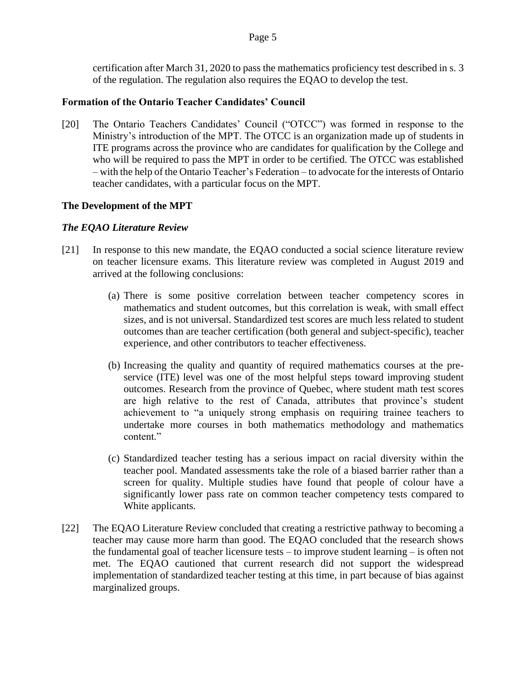certification after March 31, 2020 to pass the mathematics proficiency test described in s. 3 of the regulation. The regulation also requires the EQAO to develop the test.

## **Formation of the Ontario Teacher Candidates' Council**

[20] The Ontario Teachers Candidates' Council ("OTCC") was formed in response to the Ministry's introduction of the MPT. The OTCC is an organization made up of students in ITE programs across the province who are candidates for qualification by the College and who will be required to pass the MPT in order to be certified. The OTCC was established – with the help of the Ontario Teacher's Federation – to advocate for the interests of Ontario teacher candidates, with a particular focus on the MPT.

# **The Development of the MPT**

# *The EQAO Literature Review*

- [21] In response to this new mandate, the EQAO conducted a social science literature review on teacher licensure exams. This literature review was completed in August 2019 and arrived at the following conclusions:
	- (a) There is some positive correlation between teacher competency scores in mathematics and student outcomes, but this correlation is weak, with small effect sizes, and is not universal. Standardized test scores are much less related to student outcomes than are teacher certification (both general and subject-specific), teacher experience, and other contributors to teacher effectiveness.
	- (b) Increasing the quality and quantity of required mathematics courses at the preservice (ITE) level was one of the most helpful steps toward improving student outcomes. Research from the province of Quebec, where student math test scores are high relative to the rest of Canada, attributes that province's student achievement to "a uniquely strong emphasis on requiring trainee teachers to undertake more courses in both mathematics methodology and mathematics content."
	- (c) Standardized teacher testing has a serious impact on racial diversity within the teacher pool. Mandated assessments take the role of a biased barrier rather than a screen for quality. Multiple studies have found that people of colour have a significantly lower pass rate on common teacher competency tests compared to White applicants.
- [22] The EQAO Literature Review concluded that creating a restrictive pathway to becoming a teacher may cause more harm than good. The EQAO concluded that the research shows the fundamental goal of teacher licensure tests – to improve student learning – is often not met. The EQAO cautioned that current research did not support the widespread implementation of standardized teacher testing at this time, in part because of bias against marginalized groups.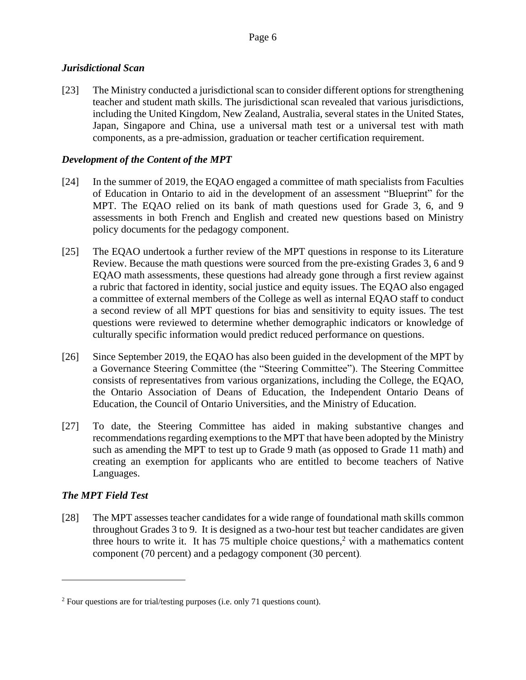# *Jurisdictional Scan*

[23] The Ministry conducted a jurisdictional scan to consider different options for strengthening teacher and student math skills. The jurisdictional scan revealed that various jurisdictions, including the United Kingdom, New Zealand, Australia, several states in the United States, Japan, Singapore and China, use a universal math test or a universal test with math components, as a pre-admission, graduation or teacher certification requirement.

# *Development of the Content of the MPT*

- [24] In the summer of 2019, the EQAO engaged a committee of math specialists from Faculties of Education in Ontario to aid in the development of an assessment "Blueprint" for the MPT. The EQAO relied on its bank of math questions used for Grade 3, 6, and 9 assessments in both French and English and created new questions based on Ministry policy documents for the pedagogy component.
- [25] The EQAO undertook a further review of the MPT questions in response to its Literature Review. Because the math questions were sourced from the pre-existing Grades 3, 6 and 9 EQAO math assessments, these questions had already gone through a first review against a rubric that factored in identity, social justice and equity issues. The EQAO also engaged a committee of external members of the College as well as internal EQAO staff to conduct a second review of all MPT questions for bias and sensitivity to equity issues. The test questions were reviewed to determine whether demographic indicators or knowledge of culturally specific information would predict reduced performance on questions.
- [26] Since September 2019, the EQAO has also been guided in the development of the MPT by a Governance Steering Committee (the "Steering Committee"). The Steering Committee consists of representatives from various organizations, including the College, the EQAO, the Ontario Association of Deans of Education, the Independent Ontario Deans of Education, the Council of Ontario Universities, and the Ministry of Education.
- [27] To date, the Steering Committee has aided in making substantive changes and recommendations regarding exemptions to the MPT that have been adopted by the Ministry such as amending the MPT to test up to Grade 9 math (as opposed to Grade 11 math) and creating an exemption for applicants who are entitled to become teachers of Native Languages.

# *The MPT Field Test*

[28] The MPT assesses teacher candidates for a wide range of foundational math skills common throughout Grades 3 to 9. It is designed as a two-hour test but teacher candidates are given three hours to write it. It has 75 multiple choice questions,<sup>2</sup> with a mathematics content component (70 percent) and a pedagogy component (30 percent).

<sup>&</sup>lt;sup>2</sup> Four questions are for trial/testing purposes (i.e. only 71 questions count).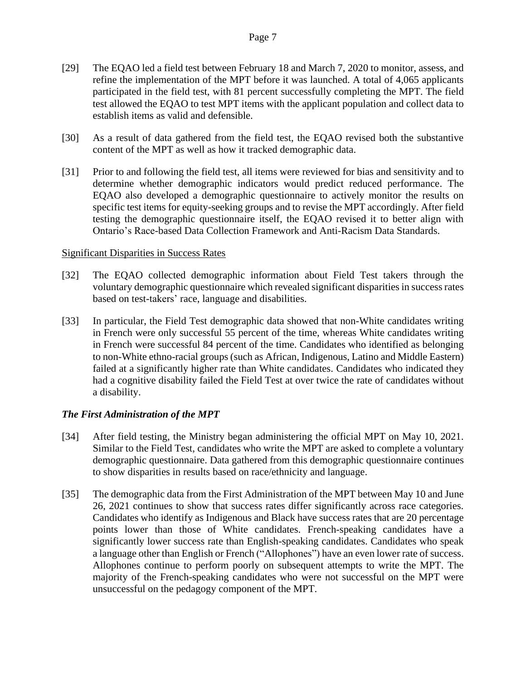- [29] The EQAO led a field test between February 18 and March 7, 2020 to monitor, assess, and refine the implementation of the MPT before it was launched. A total of 4,065 applicants participated in the field test, with 81 percent successfully completing the MPT. The field test allowed the EQAO to test MPT items with the applicant population and collect data to establish items as valid and defensible.
- [30] As a result of data gathered from the field test, the EQAO revised both the substantive content of the MPT as well as how it tracked demographic data.
- [31] Prior to and following the field test, all items were reviewed for bias and sensitivity and to determine whether demographic indicators would predict reduced performance. The EQAO also developed a demographic questionnaire to actively monitor the results on specific test items for equity-seeking groups and to revise the MPT accordingly. After field testing the demographic questionnaire itself, the EQAO revised it to better align with Ontario's Race-based Data Collection Framework and Anti-Racism Data Standards.

#### Significant Disparities in Success Rates

- [32] The EQAO collected demographic information about Field Test takers through the voluntary demographic questionnaire which revealed significant disparities in success rates based on test-takers' race, language and disabilities.
- [33] In particular, the Field Test demographic data showed that non-White candidates writing in French were only successful 55 percent of the time, whereas White candidates writing in French were successful 84 percent of the time. Candidates who identified as belonging to non-White ethno-racial groups (such as African, Indigenous, Latino and Middle Eastern) failed at a significantly higher rate than White candidates. Candidates who indicated they had a cognitive disability failed the Field Test at over twice the rate of candidates without a disability.

## *The First Administration of the MPT*

- [34] After field testing, the Ministry began administering the official MPT on May 10, 2021. Similar to the Field Test, candidates who write the MPT are asked to complete a voluntary demographic questionnaire. Data gathered from this demographic questionnaire continues to show disparities in results based on race/ethnicity and language.
- [35] The demographic data from the First Administration of the MPT between May 10 and June 26, 2021 continues to show that success rates differ significantly across race categories. Candidates who identify as Indigenous and Black have success rates that are 20 percentage points lower than those of White candidates. French-speaking candidates have a significantly lower success rate than English-speaking candidates. Candidates who speak a language other than English or French ("Allophones") have an even lower rate of success. Allophones continue to perform poorly on subsequent attempts to write the MPT. The majority of the French-speaking candidates who were not successful on the MPT were unsuccessful on the pedagogy component of the MPT.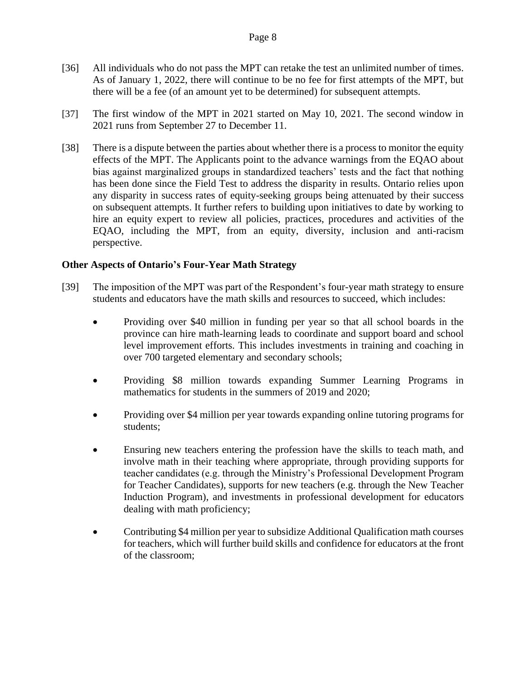- [36] All individuals who do not pass the MPT can retake the test an unlimited number of times. As of January 1, 2022, there will continue to be no fee for first attempts of the MPT, but there will be a fee (of an amount yet to be determined) for subsequent attempts.
- [37] The first window of the MPT in 2021 started on May 10, 2021. The second window in 2021 runs from September 27 to December 11.
- [38] There is a dispute between the parties about whether there is a process to monitor the equity effects of the MPT. The Applicants point to the advance warnings from the EQAO about bias against marginalized groups in standardized teachers' tests and the fact that nothing has been done since the Field Test to address the disparity in results. Ontario relies upon any disparity in success rates of equity-seeking groups being attenuated by their success on subsequent attempts. It further refers to building upon initiatives to date by working to hire an equity expert to review all policies, practices, procedures and activities of the EQAO, including the MPT, from an equity, diversity, inclusion and anti-racism perspective.

## **Other Aspects of Ontario's Four-Year Math Strategy**

- [39] The imposition of the MPT was part of the Respondent's four-year math strategy to ensure students and educators have the math skills and resources to succeed, which includes:
	- Providing over \$40 million in funding per year so that all school boards in the province can hire math-learning leads to coordinate and support board and school level improvement efforts. This includes investments in training and coaching in over 700 targeted elementary and secondary schools;
	- Providing \$8 million towards expanding Summer Learning Programs in mathematics for students in the summers of 2019 and 2020;
	- Providing over \$4 million per year towards expanding online tutoring programs for students;
	- Ensuring new teachers entering the profession have the skills to teach math, and involve math in their teaching where appropriate, through providing supports for teacher candidates (e.g. through the Ministry's Professional Development Program for Teacher Candidates), supports for new teachers (e.g. through the New Teacher Induction Program), and investments in professional development for educators dealing with math proficiency;
	- Contributing \$4 million per year to subsidize Additional Qualification math courses for teachers, which will further build skills and confidence for educators at the front of the classroom;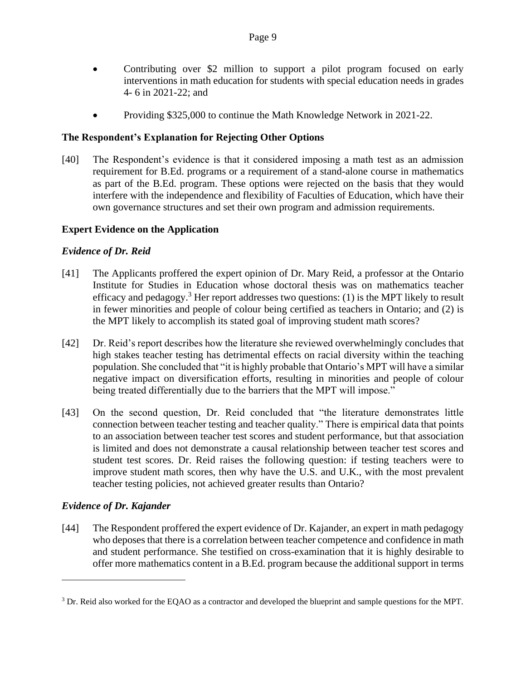- Contributing over \$2 million to support a pilot program focused on early interventions in math education for students with special education needs in grades 4- 6 in 2021-22; and
- Providing \$325,000 to continue the Math Knowledge Network in 2021-22.

# **The Respondent's Explanation for Rejecting Other Options**

[40] The Respondent's evidence is that it considered imposing a math test as an admission requirement for B.Ed. programs or a requirement of a stand-alone course in mathematics as part of the B.Ed. program. These options were rejected on the basis that they would interfere with the independence and flexibility of Faculties of Education, which have their own governance structures and set their own program and admission requirements.

## **Expert Evidence on the Application**

# *Evidence of Dr. Reid*

- [41] The Applicants proffered the expert opinion of Dr. Mary Reid, a professor at the Ontario Institute for Studies in Education whose doctoral thesis was on mathematics teacher efficacy and pedagogy.<sup>3</sup> Her report addresses two questions: (1) is the MPT likely to result in fewer minorities and people of colour being certified as teachers in Ontario; and (2) is the MPT likely to accomplish its stated goal of improving student math scores?
- [42] Dr. Reid's report describes how the literature she reviewed overwhelmingly concludes that high stakes teacher testing has detrimental effects on racial diversity within the teaching population. She concluded that "it is highly probable that Ontario's MPT will have a similar negative impact on diversification efforts, resulting in minorities and people of colour being treated differentially due to the barriers that the MPT will impose."
- [43] On the second question, Dr. Reid concluded that "the literature demonstrates little connection between teacher testing and teacher quality." There is empirical data that points to an association between teacher test scores and student performance, but that association is limited and does not demonstrate a causal relationship between teacher test scores and student test scores. Dr. Reid raises the following question: if testing teachers were to improve student math scores, then why have the U.S. and U.K., with the most prevalent teacher testing policies, not achieved greater results than Ontario?

# *Evidence of Dr. Kajander*

[44] The Respondent proffered the expert evidence of Dr. Kajander, an expert in math pedagogy who deposes that there is a correlation between teacher competence and confidence in math and student performance. She testified on cross-examination that it is highly desirable to offer more mathematics content in a B.Ed. program because the additional support in terms

<sup>&</sup>lt;sup>3</sup> Dr. Reid also worked for the EQAO as a contractor and developed the blueprint and sample questions for the MPT.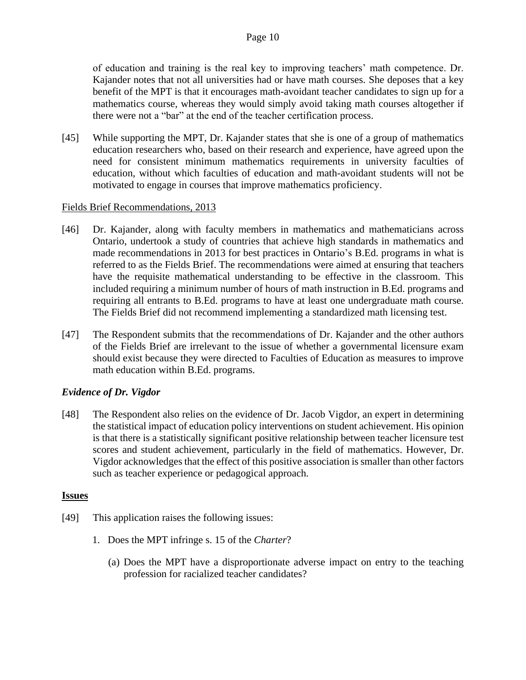of education and training is the real key to improving teachers' math competence. Dr. Kajander notes that not all universities had or have math courses. She deposes that a key benefit of the MPT is that it encourages math-avoidant teacher candidates to sign up for a mathematics course, whereas they would simply avoid taking math courses altogether if there were not a "bar" at the end of the teacher certification process.

[45] While supporting the MPT, Dr. Kajander states that she is one of a group of mathematics education researchers who, based on their research and experience, have agreed upon the need for consistent minimum mathematics requirements in university faculties of education, without which faculties of education and math-avoidant students will not be motivated to engage in courses that improve mathematics proficiency.

## Fields Brief Recommendations, 2013

- [46] Dr. Kajander, along with faculty members in mathematics and mathematicians across Ontario, undertook a study of countries that achieve high standards in mathematics and made recommendations in 2013 for best practices in Ontario's B.Ed. programs in what is referred to as the Fields Brief. The recommendations were aimed at ensuring that teachers have the requisite mathematical understanding to be effective in the classroom. This included requiring a minimum number of hours of math instruction in B.Ed. programs and requiring all entrants to B.Ed. programs to have at least one undergraduate math course. The Fields Brief did not recommend implementing a standardized math licensing test.
- [47] The Respondent submits that the recommendations of Dr. Kajander and the other authors of the Fields Brief are irrelevant to the issue of whether a governmental licensure exam should exist because they were directed to Faculties of Education as measures to improve math education within B.Ed. programs.

# *Evidence of Dr. Vigdor*

[48] The Respondent also relies on the evidence of Dr. Jacob Vigdor, an expert in determining the statistical impact of education policy interventions on student achievement. His opinion is that there is a statistically significant positive relationship between teacher licensure test scores and student achievement, particularly in the field of mathematics. However, Dr. Vigdor acknowledges that the effect of this positive association is smaller than other factors such as teacher experience or pedagogical approach.

## **Issues**

- [49] This application raises the following issues:
	- 1. Does the MPT infringe s. 15 of the *Charter*?
		- (a) Does the MPT have a disproportionate adverse impact on entry to the teaching profession for racialized teacher candidates?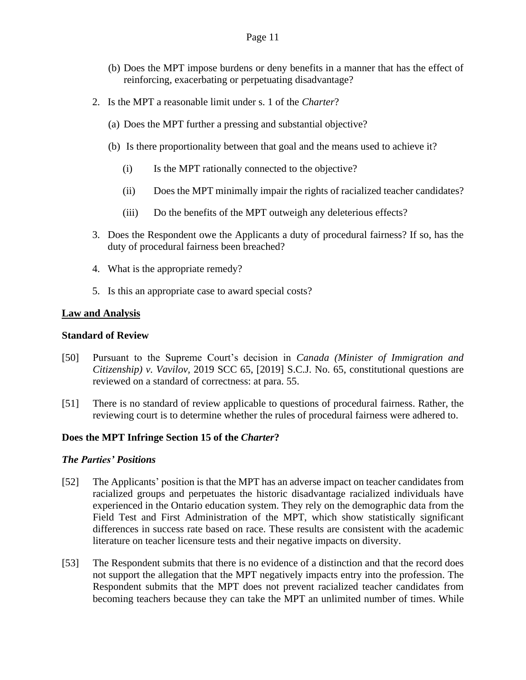#### Page 11

- (b) Does the MPT impose burdens or deny benefits in a manner that has the effect of reinforcing, exacerbating or perpetuating disadvantage?
- 2. Is the MPT a reasonable limit under s. 1 of the *Charter*?
	- (a) Does the MPT further a pressing and substantial objective?
	- (b) Is there proportionality between that goal and the means used to achieve it?
		- (i) Is the MPT rationally connected to the objective?
		- (ii) Does the MPT minimally impair the rights of racialized teacher candidates?
		- (iii) Do the benefits of the MPT outweigh any deleterious effects?
- 3. Does the Respondent owe the Applicants a duty of procedural fairness? If so, has the duty of procedural fairness been breached?
- 4. What is the appropriate remedy?
- 5. Is this an appropriate case to award special costs?

## **Law and Analysis**

#### **Standard of Review**

- [50] Pursuant to the Supreme Court's decision in *Canada (Minister of Immigration and Citizenship) v. Vavilov,* 2019 SCC 65, [2019] S.C.J. No. 65, constitutional questions are reviewed on a standard of correctness: at para. 55.
- [51] There is no standard of review applicable to questions of procedural fairness. Rather, the reviewing court is to determine whether the rules of procedural fairness were adhered to.

## **Does the MPT Infringe Section 15 of the** *Charter***?**

## *The Parties' Positions*

- [52] The Applicants' position is that the MPT has an adverse impact on teacher candidates from racialized groups and perpetuates the historic disadvantage racialized individuals have experienced in the Ontario education system. They rely on the demographic data from the Field Test and First Administration of the MPT, which show statistically significant differences in success rate based on race. These results are consistent with the academic literature on teacher licensure tests and their negative impacts on diversity.
- [53] The Respondent submits that there is no evidence of a distinction and that the record does not support the allegation that the MPT negatively impacts entry into the profession. The Respondent submits that the MPT does not prevent racialized teacher candidates from becoming teachers because they can take the MPT an unlimited number of times. While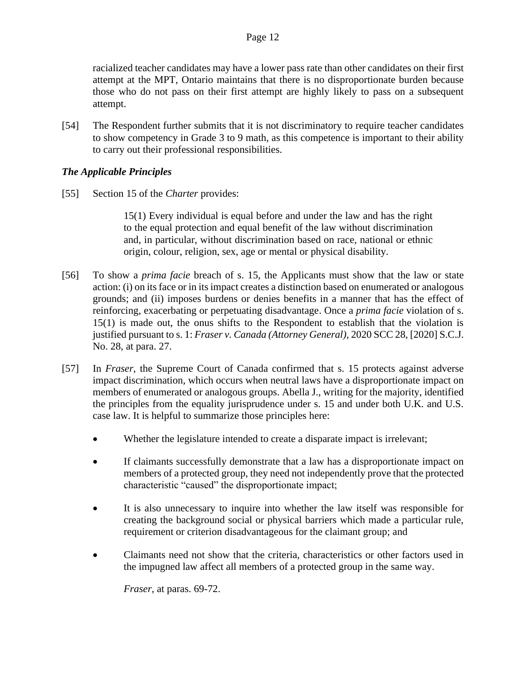racialized teacher candidates may have a lower pass rate than other candidates on their first attempt at the MPT, Ontario maintains that there is no disproportionate burden because those who do not pass on their first attempt are highly likely to pass on a subsequent attempt.

[54] The Respondent further submits that it is not discriminatory to require teacher candidates to show competency in Grade 3 to 9 math, as this competence is important to their ability to carry out their professional responsibilities.

# *The Applicable Principles*

[55] Section 15 of the *Charter* provides:

15(1) Every individual is equal before and under the law and has the right to the equal protection and equal benefit of the law without discrimination and, in particular, without discrimination based on race, national or ethnic origin, colour, religion, sex, age or mental or physical disability.

- [56] To show a *prima facie* breach of s. 15, the Applicants must show that the law or state action: (i) on its face or in its impact creates a distinction based on enumerated or analogous grounds; and (ii) imposes burdens or denies benefits in a manner that has the effect of reinforcing, exacerbating or perpetuating disadvantage. Once a *prima facie* violation of s. 15(1) is made out, the onus shifts to the Respondent to establish that the violation is justified pursuant to s. 1: *Fraser v. Canada (Attorney General),* 2020 SCC 28, [2020] S.C.J. No. 28, at para. 27.
- [57] In *Fraser*, the Supreme Court of Canada confirmed that s. 15 protects against adverse impact discrimination, which occurs when neutral laws have a disproportionate impact on members of enumerated or analogous groups. Abella J., writing for the majority, identified the principles from the equality jurisprudence under s. 15 and under both U.K. and U.S. case law. It is helpful to summarize those principles here:
	- Whether the legislature intended to create a disparate impact is irrelevant;
	- If claimants successfully demonstrate that a law has a disproportionate impact on members of a protected group, they need not independently prove that the protected characteristic "caused" the disproportionate impact;
	- It is also unnecessary to inquire into whether the law itself was responsible for creating the background social or physical barriers which made a particular rule, requirement or criterion disadvantageous for the claimant group; and
	- Claimants need not show that the criteria, characteristics or other factors used in the impugned law affect all members of a protected group in the same way.

*Fraser*, at paras. 69-72.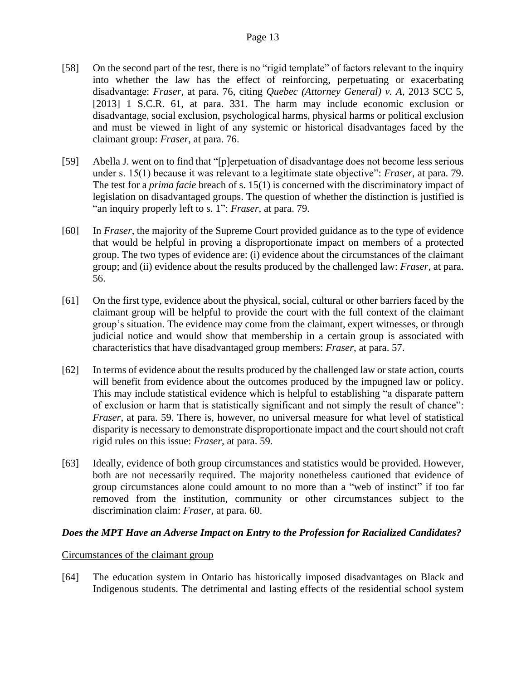- [58] On the second part of the test, there is no "rigid template" of factors relevant to the inquiry into whether the law has the effect of reinforcing, perpetuating or exacerbating disadvantage: *Fraser*, at para. 76, citing *Quebec (Attorney General) v. A*, 2013 SCC 5, [2013] 1 S.C.R. 61, at para. 331. The harm may include economic exclusion or disadvantage, social exclusion, psychological harms, physical harms or political exclusion and must be viewed in light of any systemic or historical disadvantages faced by the claimant group: *Fraser*, at para. 76.
- [59] Abella J. went on to find that "[p]erpetuation of disadvantage does not become less serious under s. 15(1) because it was relevant to a legitimate state objective": *Fraser*, at para. 79. The test for a *prima facie* breach of s. 15(1) is concerned with the discriminatory impact of legislation on disadvantaged groups. The question of whether the distinction is justified is "an inquiry properly left to s. 1": *Fraser*, at para. 79.
- [60] In *Fraser*, the majority of the Supreme Court provided guidance as to the type of evidence that would be helpful in proving a disproportionate impact on members of a protected group. The two types of evidence are: (i) evidence about the circumstances of the claimant group; and (ii) evidence about the results produced by the challenged law: *Fraser*, at para. 56.
- [61] On the first type, evidence about the physical, social, cultural or other barriers faced by the claimant group will be helpful to provide the court with the full context of the claimant group's situation. The evidence may come from the claimant, expert witnesses, or through judicial notice and would show that membership in a certain group is associated with characteristics that have disadvantaged group members: *Fraser*, at para. 57.
- [62] In terms of evidence about the results produced by the challenged law or state action, courts will benefit from evidence about the outcomes produced by the impugned law or policy. This may include statistical evidence which is helpful to establishing "a disparate pattern of exclusion or harm that is statistically significant and not simply the result of chance": *Fraser*, at para. 59. There is, however, no universal measure for what level of statistical disparity is necessary to demonstrate disproportionate impact and the court should not craft rigid rules on this issue: *Fraser*, at para. 59.
- [63] Ideally, evidence of both group circumstances and statistics would be provided. However, both are not necessarily required. The majority nonetheless cautioned that evidence of group circumstances alone could amount to no more than a "web of instinct" if too far removed from the institution, community or other circumstances subject to the discrimination claim: *Fraser*, at para. 60.

# *Does the MPT Have an Adverse Impact on Entry to the Profession for Racialized Candidates?*

## Circumstances of the claimant group

[64] The education system in Ontario has historically imposed disadvantages on Black and Indigenous students. The detrimental and lasting effects of the residential school system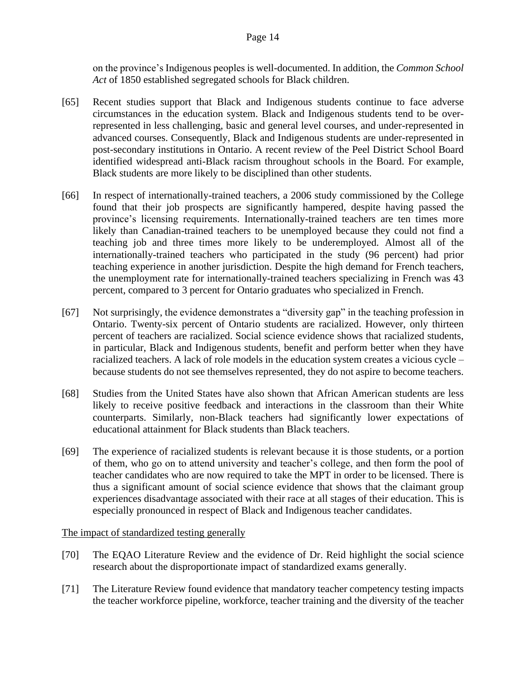on the province's Indigenous peoples is well-documented. In addition, the *Common School Act* of 1850 established segregated schools for Black children.

- [65] Recent studies support that Black and Indigenous students continue to face adverse circumstances in the education system. Black and Indigenous students tend to be overrepresented in less challenging, basic and general level courses, and under-represented in advanced courses. Consequently, Black and Indigenous students are under-represented in post-secondary institutions in Ontario. A recent review of the Peel District School Board identified widespread anti-Black racism throughout schools in the Board. For example, Black students are more likely to be disciplined than other students.
- [66] In respect of internationally-trained teachers, a 2006 study commissioned by the College found that their job prospects are significantly hampered, despite having passed the province's licensing requirements. Internationally-trained teachers are ten times more likely than Canadian-trained teachers to be unemployed because they could not find a teaching job and three times more likely to be underemployed. Almost all of the internationally-trained teachers who participated in the study (96 percent) had prior teaching experience in another jurisdiction. Despite the high demand for French teachers, the unemployment rate for internationally-trained teachers specializing in French was 43 percent, compared to 3 percent for Ontario graduates who specialized in French.
- [67] Not surprisingly, the evidence demonstrates a "diversity gap" in the teaching profession in Ontario. Twenty-six percent of Ontario students are racialized. However, only thirteen percent of teachers are racialized. Social science evidence shows that racialized students, in particular, Black and Indigenous students, benefit and perform better when they have racialized teachers. A lack of role models in the education system creates a vicious cycle – because students do not see themselves represented, they do not aspire to become teachers.
- [68] Studies from the United States have also shown that African American students are less likely to receive positive feedback and interactions in the classroom than their White counterparts. Similarly, non-Black teachers had significantly lower expectations of educational attainment for Black students than Black teachers.
- [69] The experience of racialized students is relevant because it is those students, or a portion of them, who go on to attend university and teacher's college, and then form the pool of teacher candidates who are now required to take the MPT in order to be licensed. There is thus a significant amount of social science evidence that shows that the claimant group experiences disadvantage associated with their race at all stages of their education. This is especially pronounced in respect of Black and Indigenous teacher candidates.

The impact of standardized testing generally

- [70] The EQAO Literature Review and the evidence of Dr. Reid highlight the social science research about the disproportionate impact of standardized exams generally.
- [71] The Literature Review found evidence that mandatory teacher competency testing impacts the teacher workforce pipeline, workforce, teacher training and the diversity of the teacher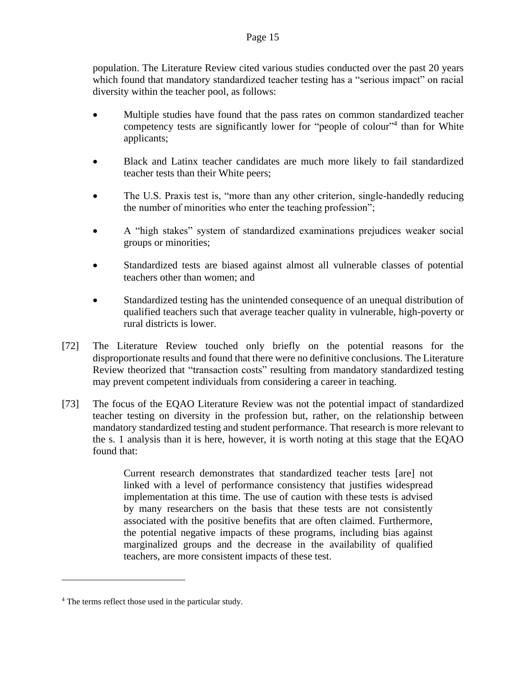population. The Literature Review cited various studies conducted over the past 20 years which found that mandatory standardized teacher testing has a "serious impact" on racial diversity within the teacher pool, as follows:

- Multiple studies have found that the pass rates on common standardized teacher competency tests are significantly lower for "people of colour"<sup>4</sup> than for White applicants;
- Black and Latinx teacher candidates are much more likely to fail standardized teacher tests than their White peers;
- The U.S. Praxis test is, "more than any other criterion, single-handedly reducing the number of minorities who enter the teaching profession";
- A "high stakes" system of standardized examinations prejudices weaker social groups or minorities;
- Standardized tests are biased against almost all vulnerable classes of potential teachers other than women; and
- Standardized testing has the unintended consequence of an unequal distribution of qualified teachers such that average teacher quality in vulnerable, high-poverty or rural districts is lower.
- [72] The Literature Review touched only briefly on the potential reasons for the disproportionate results and found that there were no definitive conclusions. The Literature Review theorized that "transaction costs" resulting from mandatory standardized testing may prevent competent individuals from considering a career in teaching.
- [73] The focus of the EQAO Literature Review was not the potential impact of standardized teacher testing on diversity in the profession but, rather, on the relationship between mandatory standardized testing and student performance. That research is more relevant to the s. 1 analysis than it is here, however, it is worth noting at this stage that the EQAO found that:

Current research demonstrates that standardized teacher tests [are] not linked with a level of performance consistency that justifies widespread implementation at this time. The use of caution with these tests is advised by many researchers on the basis that these tests are not consistently associated with the positive benefits that are often claimed. Furthermore, the potential negative impacts of these programs, including bias against marginalized groups and the decrease in the availability of qualified teachers, are more consistent impacts of these test.

<sup>4</sup> The terms reflect those used in the particular study.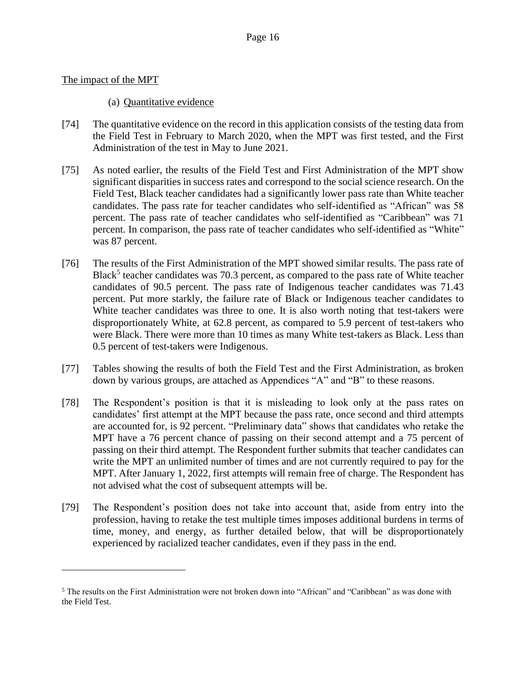## The impact of the MPT

## (a) Quantitative evidence

- [74] The quantitative evidence on the record in this application consists of the testing data from the Field Test in February to March 2020, when the MPT was first tested, and the First Administration of the test in May to June 2021.
- [75] As noted earlier, the results of the Field Test and First Administration of the MPT show significant disparities in success rates and correspond to the social science research. On the Field Test, Black teacher candidates had a significantly lower pass rate than White teacher candidates. The pass rate for teacher candidates who self-identified as "African" was 58 percent. The pass rate of teacher candidates who self-identified as "Caribbean" was 71 percent. In comparison, the pass rate of teacher candidates who self-identified as "White" was 87 percent.
- [76] The results of the First Administration of the MPT showed similar results. The pass rate of Black<sup>5</sup> teacher candidates was 70.3 percent, as compared to the pass rate of White teacher candidates of 90.5 percent. The pass rate of Indigenous teacher candidates was 71.43 percent. Put more starkly, the failure rate of Black or Indigenous teacher candidates to White teacher candidates was three to one. It is also worth noting that test-takers were disproportionately White, at 62.8 percent, as compared to 5.9 percent of test-takers who were Black. There were more than 10 times as many White test-takers as Black. Less than 0.5 percent of test-takers were Indigenous.
- [77] Tables showing the results of both the Field Test and the First Administration, as broken down by various groups, are attached as Appendices "A" and "B" to these reasons.
- [78] The Respondent's position is that it is misleading to look only at the pass rates on candidates' first attempt at the MPT because the pass rate, once second and third attempts are accounted for, is 92 percent. "Preliminary data" shows that candidates who retake the MPT have a 76 percent chance of passing on their second attempt and a 75 percent of passing on their third attempt. The Respondent further submits that teacher candidates can write the MPT an unlimited number of times and are not currently required to pay for the MPT. After January 1, 2022, first attempts will remain free of charge. The Respondent has not advised what the cost of subsequent attempts will be.
- [79] The Respondent's position does not take into account that, aside from entry into the profession, having to retake the test multiple times imposes additional burdens in terms of time, money, and energy, as further detailed below, that will be disproportionately experienced by racialized teacher candidates, even if they pass in the end.

<sup>5</sup> The results on the First Administration were not broken down into "African" and "Caribbean" as was done with the Field Test.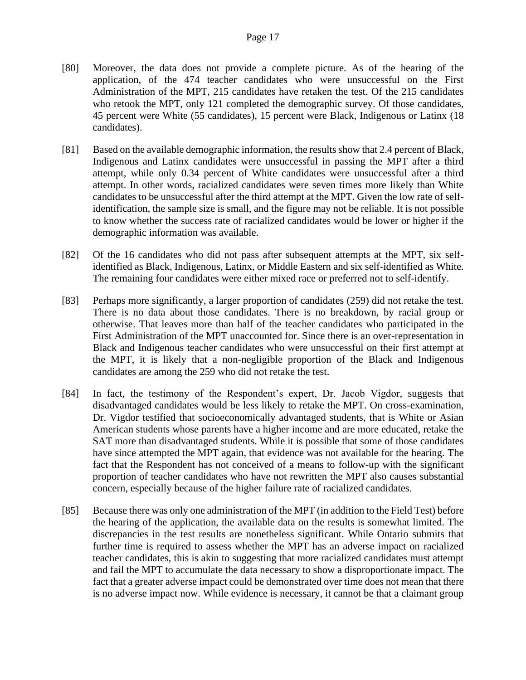- [80] Moreover, the data does not provide a complete picture. As of the hearing of the application, of the 474 teacher candidates who were unsuccessful on the First Administration of the MPT, 215 candidates have retaken the test. Of the 215 candidates who retook the MPT, only 121 completed the demographic survey. Of those candidates, 45 percent were White (55 candidates), 15 percent were Black, Indigenous or Latinx (18 candidates).
- [81] Based on the available demographic information, the results show that 2.4 percent of Black, Indigenous and Latinx candidates were unsuccessful in passing the MPT after a third attempt, while only 0.34 percent of White candidates were unsuccessful after a third attempt. In other words, racialized candidates were seven times more likely than White candidates to be unsuccessful after the third attempt at the MPT. Given the low rate of selfidentification, the sample size is small, and the figure may not be reliable. It is not possible to know whether the success rate of racialized candidates would be lower or higher if the demographic information was available.
- [82] Of the 16 candidates who did not pass after subsequent attempts at the MPT, six selfidentified as Black, Indigenous, Latinx, or Middle Eastern and six self-identified as White. The remaining four candidates were either mixed race or preferred not to self-identify.
- [83] Perhaps more significantly, a larger proportion of candidates (259) did not retake the test. There is no data about those candidates. There is no breakdown, by racial group or otherwise. That leaves more than half of the teacher candidates who participated in the First Administration of the MPT unaccounted for. Since there is an over-representation in Black and Indigenous teacher candidates who were unsuccessful on their first attempt at the MPT, it is likely that a non-negligible proportion of the Black and Indigenous candidates are among the 259 who did not retake the test.
- [84] In fact, the testimony of the Respondent's expert, Dr. Jacob Vigdor, suggests that disadvantaged candidates would be less likely to retake the MPT. On cross-examination, Dr. Vigdor testified that socioeconomically advantaged students, that is White or Asian American students whose parents have a higher income and are more educated, retake the SAT more than disadvantaged students. While it is possible that some of those candidates have since attempted the MPT again, that evidence was not available for the hearing. The fact that the Respondent has not conceived of a means to follow-up with the significant proportion of teacher candidates who have not rewritten the MPT also causes substantial concern, especially because of the higher failure rate of racialized candidates.
- [85] Because there was only one administration of the MPT (in addition to the Field Test) before the hearing of the application, the available data on the results is somewhat limited. The discrepancies in the test results are nonetheless significant. While Ontario submits that further time is required to assess whether the MPT has an adverse impact on racialized teacher candidates, this is akin to suggesting that more racialized candidates must attempt and fail the MPT to accumulate the data necessary to show a disproportionate impact. The fact that a greater adverse impact could be demonstrated over time does not mean that there is no adverse impact now. While evidence is necessary, it cannot be that a claimant group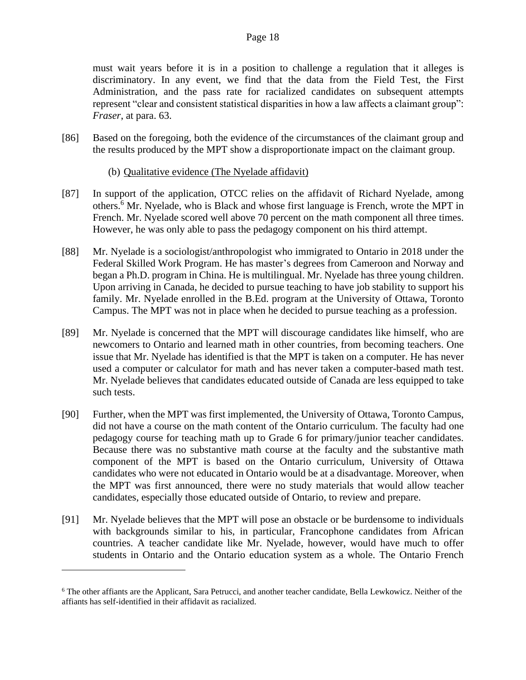must wait years before it is in a position to challenge a regulation that it alleges is discriminatory. In any event, we find that the data from the Field Test, the First Administration, and the pass rate for racialized candidates on subsequent attempts represent "clear and consistent statistical disparities in how a law affects a claimant group": *Fraser*, at para. 63.

[86] Based on the foregoing, both the evidence of the circumstances of the claimant group and the results produced by the MPT show a disproportionate impact on the claimant group.

# (b) Qualitative evidence (The Nyelade affidavit)

- [87] In support of the application, OTCC relies on the affidavit of Richard Nyelade, among others.<sup>6</sup> Mr. Nyelade, who is Black and whose first language is French, wrote the MPT in French. Mr. Nyelade scored well above 70 percent on the math component all three times. However, he was only able to pass the pedagogy component on his third attempt.
- [88] Mr. Nyelade is a sociologist/anthropologist who immigrated to Ontario in 2018 under the Federal Skilled Work Program. He has master's degrees from Cameroon and Norway and began a Ph.D. program in China. He is multilingual. Mr. Nyelade has three young children. Upon arriving in Canada, he decided to pursue teaching to have job stability to support his family. Mr. Nyelade enrolled in the B.Ed. program at the University of Ottawa, Toronto Campus. The MPT was not in place when he decided to pursue teaching as a profession.
- [89] Mr. Nyelade is concerned that the MPT will discourage candidates like himself, who are newcomers to Ontario and learned math in other countries, from becoming teachers. One issue that Mr. Nyelade has identified is that the MPT is taken on a computer. He has never used a computer or calculator for math and has never taken a computer-based math test. Mr. Nyelade believes that candidates educated outside of Canada are less equipped to take such tests.
- [90] Further, when the MPT was first implemented, the University of Ottawa, Toronto Campus, did not have a course on the math content of the Ontario curriculum. The faculty had one pedagogy course for teaching math up to Grade 6 for primary/junior teacher candidates. Because there was no substantive math course at the faculty and the substantive math component of the MPT is based on the Ontario curriculum, University of Ottawa candidates who were not educated in Ontario would be at a disadvantage. Moreover, when the MPT was first announced, there were no study materials that would allow teacher candidates, especially those educated outside of Ontario, to review and prepare.
- [91] Mr. Nyelade believes that the MPT will pose an obstacle or be burdensome to individuals with backgrounds similar to his, in particular, Francophone candidates from African countries. A teacher candidate like Mr. Nyelade, however, would have much to offer students in Ontario and the Ontario education system as a whole. The Ontario French

<sup>6</sup> The other affiants are the Applicant, Sara Petrucci, and another teacher candidate, Bella Lewkowicz. Neither of the affiants has self-identified in their affidavit as racialized.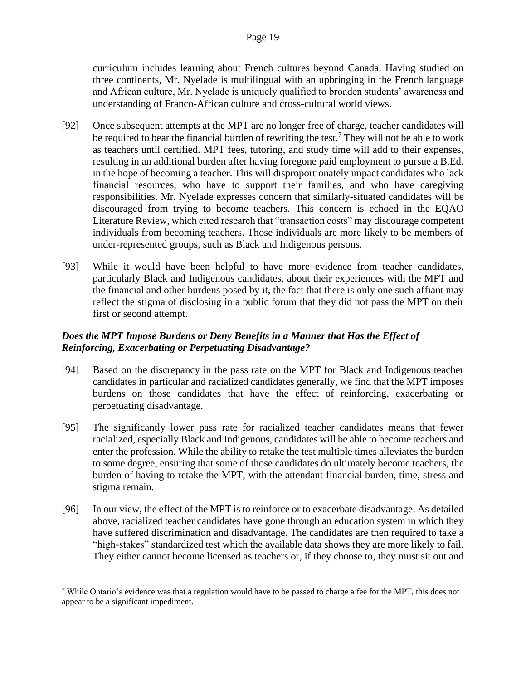curriculum includes learning about French cultures beyond Canada. Having studied on three continents, Mr. Nyelade is multilingual with an upbringing in the French language and African culture, Mr. Nyelade is uniquely qualified to broaden students' awareness and understanding of Franco-African culture and cross-cultural world views.

- [92] Once subsequent attempts at the MPT are no longer free of charge, teacher candidates will be required to bear the financial burden of rewriting the test.<sup>7</sup> They will not be able to work as teachers until certified. MPT fees, tutoring, and study time will add to their expenses, resulting in an additional burden after having foregone paid employment to pursue a B.Ed. in the hope of becoming a teacher. This will disproportionately impact candidates who lack financial resources, who have to support their families, and who have caregiving responsibilities. Mr. Nyelade expresses concern that similarly-situated candidates will be discouraged from trying to become teachers. This concern is echoed in the EQAO Literature Review, which cited research that "transaction costs" may discourage competent individuals from becoming teachers. Those individuals are more likely to be members of under-represented groups, such as Black and Indigenous persons.
- [93] While it would have been helpful to have more evidence from teacher candidates, particularly Black and Indigenous candidates, about their experiences with the MPT and the financial and other burdens posed by it, the fact that there is only one such affiant may reflect the stigma of disclosing in a public forum that they did not pass the MPT on their first or second attempt.

# *Does the MPT Impose Burdens or Deny Benefits in a Manner that Has the Effect of Reinforcing, Exacerbating or Perpetuating Disadvantage?*

- [94] Based on the discrepancy in the pass rate on the MPT for Black and Indigenous teacher candidates in particular and racialized candidates generally, we find that the MPT imposes burdens on those candidates that have the effect of reinforcing, exacerbating or perpetuating disadvantage.
- [95] The significantly lower pass rate for racialized teacher candidates means that fewer racialized, especially Black and Indigenous, candidates will be able to become teachers and enter the profession. While the ability to retake the test multiple times alleviates the burden to some degree, ensuring that some of those candidates do ultimately become teachers, the burden of having to retake the MPT, with the attendant financial burden, time, stress and stigma remain.
- [96] In our view, the effect of the MPT is to reinforce or to exacerbate disadvantage. As detailed above, racialized teacher candidates have gone through an education system in which they have suffered discrimination and disadvantage. The candidates are then required to take a "high-stakes" standardized test which the available data shows they are more likely to fail. They either cannot become licensed as teachers or, if they choose to, they must sit out and

<sup>&</sup>lt;sup>7</sup> While Ontario's evidence was that a regulation would have to be passed to charge a fee for the MPT, this does not appear to be a significant impediment.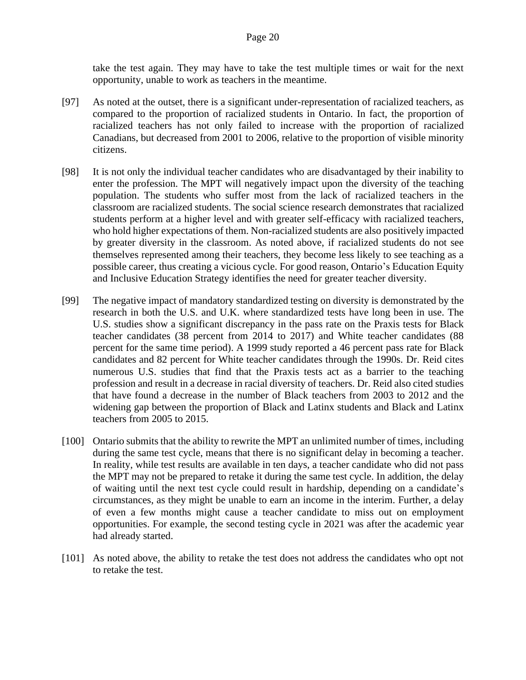take the test again. They may have to take the test multiple times or wait for the next opportunity, unable to work as teachers in the meantime.

- [97] As noted at the outset, there is a significant under-representation of racialized teachers, as compared to the proportion of racialized students in Ontario. In fact, the proportion of racialized teachers has not only failed to increase with the proportion of racialized Canadians, but decreased from 2001 to 2006, relative to the proportion of visible minority citizens.
- [98] It is not only the individual teacher candidates who are disadvantaged by their inability to enter the profession. The MPT will negatively impact upon the diversity of the teaching population. The students who suffer most from the lack of racialized teachers in the classroom are racialized students. The social science research demonstrates that racialized students perform at a higher level and with greater self-efficacy with racialized teachers, who hold higher expectations of them. Non-racialized students are also positively impacted by greater diversity in the classroom. As noted above, if racialized students do not see themselves represented among their teachers, they become less likely to see teaching as a possible career, thus creating a vicious cycle. For good reason, Ontario's Education Equity and Inclusive Education Strategy identifies the need for greater teacher diversity.
- [99] The negative impact of mandatory standardized testing on diversity is demonstrated by the research in both the U.S. and U.K. where standardized tests have long been in use. The U.S. studies show a significant discrepancy in the pass rate on the Praxis tests for Black teacher candidates (38 percent from 2014 to 2017) and White teacher candidates (88 percent for the same time period). A 1999 study reported a 46 percent pass rate for Black candidates and 82 percent for White teacher candidates through the 1990s. Dr. Reid cites numerous U.S. studies that find that the Praxis tests act as a barrier to the teaching profession and result in a decrease in racial diversity of teachers. Dr. Reid also cited studies that have found a decrease in the number of Black teachers from 2003 to 2012 and the widening gap between the proportion of Black and Latinx students and Black and Latinx teachers from 2005 to 2015.
- [100] Ontario submits that the ability to rewrite the MPT an unlimited number of times, including during the same test cycle, means that there is no significant delay in becoming a teacher. In reality, while test results are available in ten days, a teacher candidate who did not pass the MPT may not be prepared to retake it during the same test cycle. In addition, the delay of waiting until the next test cycle could result in hardship, depending on a candidate's circumstances, as they might be unable to earn an income in the interim. Further, a delay of even a few months might cause a teacher candidate to miss out on employment opportunities. For example, the second testing cycle in 2021 was after the academic year had already started.
- [101] As noted above, the ability to retake the test does not address the candidates who opt not to retake the test.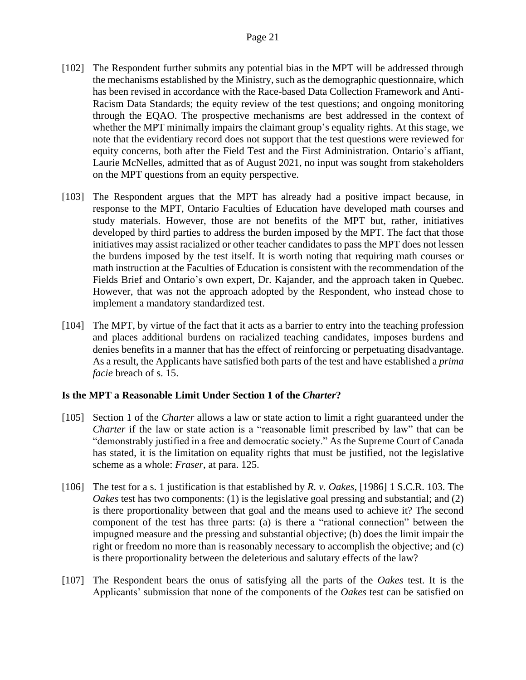- [102] The Respondent further submits any potential bias in the MPT will be addressed through the mechanisms established by the Ministry, such as the demographic questionnaire, which has been revised in accordance with the Race-based Data Collection Framework and Anti-Racism Data Standards; the equity review of the test questions; and ongoing monitoring through the EQAO. The prospective mechanisms are best addressed in the context of whether the MPT minimally impairs the claimant group's equality rights. At this stage, we note that the evidentiary record does not support that the test questions were reviewed for equity concerns, both after the Field Test and the First Administration. Ontario's affiant, Laurie McNelles, admitted that as of August 2021, no input was sought from stakeholders on the MPT questions from an equity perspective.
- [103] The Respondent argues that the MPT has already had a positive impact because, in response to the MPT, Ontario Faculties of Education have developed math courses and study materials. However, those are not benefits of the MPT but, rather, initiatives developed by third parties to address the burden imposed by the MPT. The fact that those initiatives may assist racialized or other teacher candidates to pass the MPT does not lessen the burdens imposed by the test itself. It is worth noting that requiring math courses or math instruction at the Faculties of Education is consistent with the recommendation of the Fields Brief and Ontario's own expert, Dr. Kajander, and the approach taken in Quebec. However, that was not the approach adopted by the Respondent, who instead chose to implement a mandatory standardized test.
- [104] The MPT, by virtue of the fact that it acts as a barrier to entry into the teaching profession and places additional burdens on racialized teaching candidates, imposes burdens and denies benefits in a manner that has the effect of reinforcing or perpetuating disadvantage. As a result, the Applicants have satisfied both parts of the test and have established a *prima facie* breach of s. 15.

## **Is the MPT a Reasonable Limit Under Section 1 of the** *Charter***?**

- [105] Section 1 of the *Charter* allows a law or state action to limit a right guaranteed under the *Charter* if the law or state action is a "reasonable limit prescribed by law" that can be "demonstrably justified in a free and democratic society." As the Supreme Court of Canada has stated, it is the limitation on equality rights that must be justified, not the legislative scheme as a whole: *Fraser*, at para. 125.
- [106] The test for a s. 1 justification is that established by *R. v. Oakes,* [1986] 1 S.C.R. 103. The *Oakes* test has two components: (1) is the legislative goal pressing and substantial; and (2) is there proportionality between that goal and the means used to achieve it? The second component of the test has three parts: (a) is there a "rational connection" between the impugned measure and the pressing and substantial objective; (b) does the limit impair the right or freedom no more than is reasonably necessary to accomplish the objective; and (c) is there proportionality between the deleterious and salutary effects of the law?
- [107] The Respondent bears the onus of satisfying all the parts of the *Oakes* test. It is the Applicants' submission that none of the components of the *Oakes* test can be satisfied on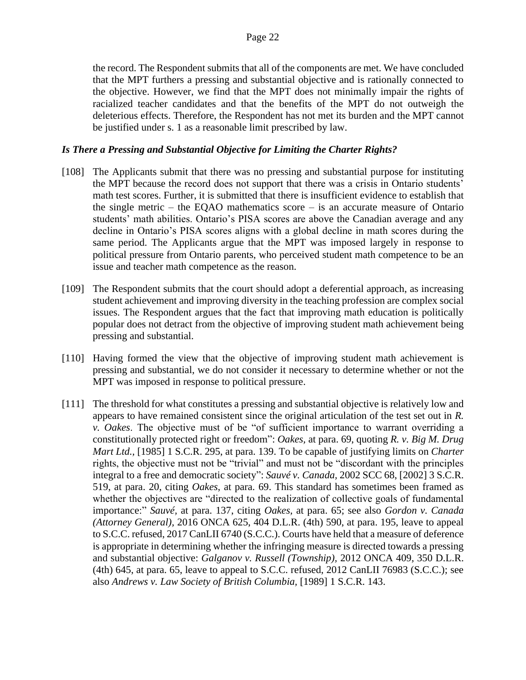the record. The Respondent submits that all of the components are met. We have concluded that the MPT furthers a pressing and substantial objective and is rationally connected to the objective. However, we find that the MPT does not minimally impair the rights of racialized teacher candidates and that the benefits of the MPT do not outweigh the deleterious effects. Therefore, the Respondent has not met its burden and the MPT cannot be justified under s. 1 as a reasonable limit prescribed by law.

## *Is There a Pressing and Substantial Objective for Limiting the Charter Rights?*

- [108] The Applicants submit that there was no pressing and substantial purpose for instituting the MPT because the record does not support that there was a crisis in Ontario students' math test scores. Further, it is submitted that there is insufficient evidence to establish that the single metric – the EQAO mathematics score – is an accurate measure of Ontario students' math abilities. Ontario's PISA scores are above the Canadian average and any decline in Ontario's PISA scores aligns with a global decline in math scores during the same period. The Applicants argue that the MPT was imposed largely in response to political pressure from Ontario parents, who perceived student math competence to be an issue and teacher math competence as the reason.
- [109] The Respondent submits that the court should adopt a deferential approach, as increasing student achievement and improving diversity in the teaching profession are complex social issues. The Respondent argues that the fact that improving math education is politically popular does not detract from the objective of improving student math achievement being pressing and substantial.
- [110] Having formed the view that the objective of improving student math achievement is pressing and substantial, we do not consider it necessary to determine whether or not the MPT was imposed in response to political pressure.
- [111] The threshold for what constitutes a pressing and substantial objective is relatively low and appears to have remained consistent since the original articulation of the test set out in *R. v. Oakes*. The objective must of be "of sufficient importance to warrant overriding a constitutionally protected right or freedom": *Oakes,* at para. 69, quoting *R. v. Big M. Drug Mart Ltd.,* [1985] 1 S.C.R. 295, at para. 139. To be capable of justifying limits on *Charter*  rights, the objective must not be "trivial" and must not be "discordant with the principles integral to a free and democratic society": *Sauvé v. Canada,* 2002 SCC 68, [2002] 3 S.C.R. 519, at para. 20, citing *Oakes*, at para. 69. This standard has sometimes been framed as whether the objectives are "directed to the realization of collective goals of fundamental importance:" *Sauvé,* at para. 137, citing *Oakes,* at para. 65; see also *Gordon v. Canada (Attorney General),* 2016 ONCA 625, 404 D.L.R. (4th) 590, at para. 195, leave to appeal to S.C.C. refused, 2017 CanLII 6740 (S.C.C.). Courts have held that a measure of deference is appropriate in determining whether the infringing measure is directed towards a pressing and substantial objective: *Galganov v. Russell (Township),* 2012 ONCA 409*,* 350 D.L.R. (4th) 645, at para. 65, leave to appeal to S.C.C. refused, 2012 CanLII 76983 (S.C.C.); see also *Andrews v. Law Society of British Columbia,* [1989] 1 S.C.R. 143.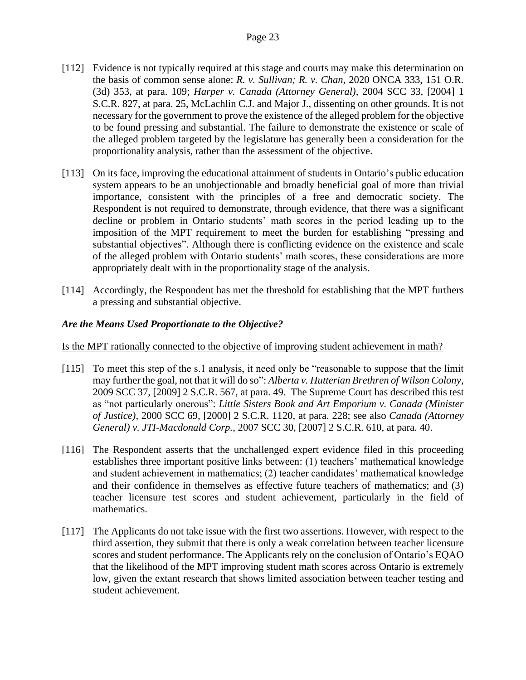- [112] Evidence is not typically required at this stage and courts may make this determination on the basis of common sense alone: *R. v. Sullivan; R. v. Chan,* 2020 ONCA 333, 151 O.R. (3d) 353, at para. 109; *Harper v. Canada (Attorney General)*, 2004 SCC 33, [2004] 1 S.C.R. 827, at para. 25, McLachlin C.J. and Major J., dissenting on other grounds. It is not necessary for the government to prove the existence of the alleged problem for the objective to be found pressing and substantial. The failure to demonstrate the existence or scale of the alleged problem targeted by the legislature has generally been a consideration for the proportionality analysis, rather than the assessment of the objective.
- [113] On its face, improving the educational attainment of students in Ontario's public education system appears to be an unobjectionable and broadly beneficial goal of more than trivial importance, consistent with the principles of a free and democratic society. The Respondent is not required to demonstrate, through evidence, that there was a significant decline or problem in Ontario students' math scores in the period leading up to the imposition of the MPT requirement to meet the burden for establishing "pressing and substantial objectives". Although there is conflicting evidence on the existence and scale of the alleged problem with Ontario students' math scores, these considerations are more appropriately dealt with in the proportionality stage of the analysis.
- [114] Accordingly, the Respondent has met the threshold for establishing that the MPT furthers a pressing and substantial objective.

## *Are the Means Used Proportionate to the Objective?*

#### Is the MPT rationally connected to the objective of improving student achievement in math?

- [115] To meet this step of the s.1 analysis, it need only be "reasonable to suppose that the limit may further the goal, not that it will do so": *Alberta v. Hutterian Brethren of Wilson Colony*, 2009 SCC 37, [2009] 2 S.C.R. 567, at para. 49. The Supreme Court has described this test as "not particularly onerous": *Little Sisters Book and Art Emporium v. Canada (Minister of Justice),* 2000 SCC 69, [2000] 2 S.C.R. 1120, at para. 228; see also *Canada (Attorney General) v. JTI-Macdonald Corp.*, 2007 SCC 30, [2007] 2 S.C.R. 610, at para. 40.
- [116] The Respondent asserts that the unchallenged expert evidence filed in this proceeding establishes three important positive links between: (1) teachers' mathematical knowledge and student achievement in mathematics; (2) teacher candidates' mathematical knowledge and their confidence in themselves as effective future teachers of mathematics; and (3) teacher licensure test scores and student achievement, particularly in the field of mathematics.
- [117] The Applicants do not take issue with the first two assertions. However, with respect to the third assertion, they submit that there is only a weak correlation between teacher licensure scores and student performance. The Applicants rely on the conclusion of Ontario's EQAO that the likelihood of the MPT improving student math scores across Ontario is extremely low, given the extant research that shows limited association between teacher testing and student achievement.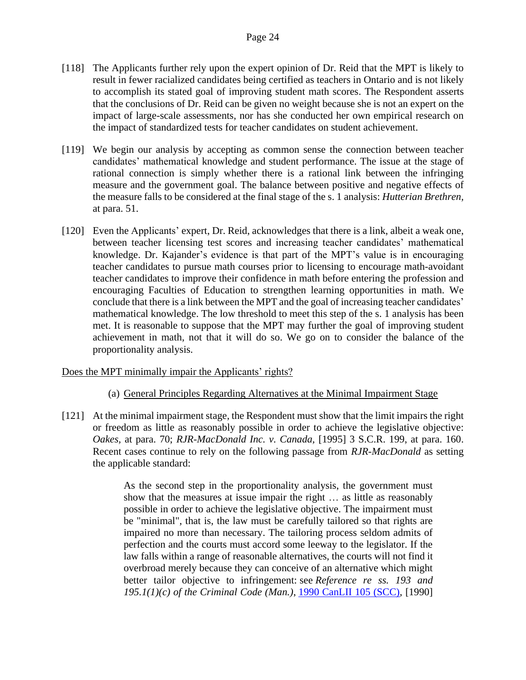- [118] The Applicants further rely upon the expert opinion of Dr. Reid that the MPT is likely to result in fewer racialized candidates being certified as teachers in Ontario and is not likely to accomplish its stated goal of improving student math scores. The Respondent asserts that the conclusions of Dr. Reid can be given no weight because she is not an expert on the impact of large-scale assessments, nor has she conducted her own empirical research on the impact of standardized tests for teacher candidates on student achievement.
- [119] We begin our analysis by accepting as common sense the connection between teacher candidates' mathematical knowledge and student performance. The issue at the stage of rational connection is simply whether there is a rational link between the infringing measure and the government goal. The balance between positive and negative effects of the measure falls to be considered at the final stage of the s. 1 analysis: *Hutterian Brethren,*  at para. 51.
- [120] Even the Applicants' expert, Dr. Reid, acknowledges that there is a link, albeit a weak one, between teacher licensing test scores and increasing teacher candidates' mathematical knowledge. Dr. Kajander's evidence is that part of the MPT's value is in encouraging teacher candidates to pursue math courses prior to licensing to encourage math-avoidant teacher candidates to improve their confidence in math before entering the profession and encouraging Faculties of Education to strengthen learning opportunities in math. We conclude that there is a link between the MPT and the goal of increasing teacher candidates' mathematical knowledge. The low threshold to meet this step of the s. 1 analysis has been met. It is reasonable to suppose that the MPT may further the goal of improving student achievement in math, not that it will do so. We go on to consider the balance of the proportionality analysis.

## Does the MPT minimally impair the Applicants' rights?

- (a) General Principles Regarding Alternatives at the Minimal Impairment Stage
- [121] At the minimal impairment stage, the Respondent must show that the limit impairs the right or freedom as little as reasonably possible in order to achieve the legislative objective: *Oakes,* at para. 70; *RJR-MacDonald Inc. v. Canada,* [1995] 3 S.C.R. 199, at para. 160. Recent cases continue to rely on the following passage from *RJR-MacDonald* as setting the applicable standard:

As the second step in the proportionality analysis, the government must show that the measures at issue impair the right … as little as reasonably possible in order to achieve the legislative objective. The impairment must be "minimal", that is, the law must be carefully tailored so that rights are impaired no more than necessary. The tailoring process seldom admits of perfection and the courts must accord some leeway to the legislator. If the law falls within a range of reasonable alternatives, the courts will not find it overbroad merely because they can conceive of an alternative which might better tailor objective to infringement: see *Reference re ss. 193 and 195.1(1)(c) of the Criminal Code (Man.)*, 1990 CanLII 105 (SCC), [1990]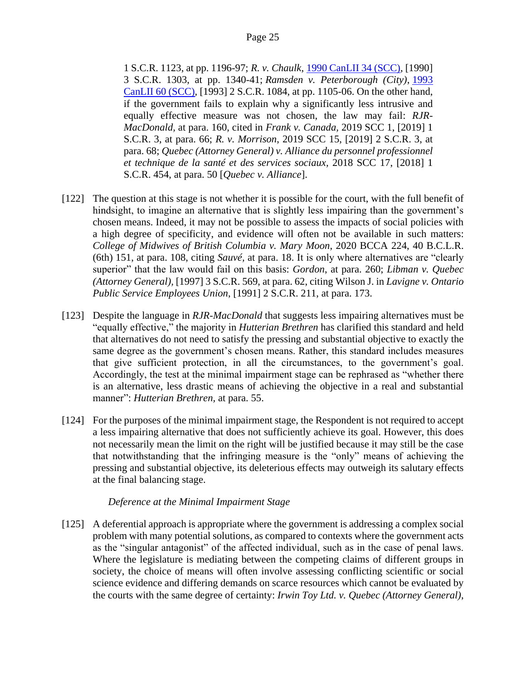1 S.C.R. 1123, at pp. 1196-97; *R. v. Chaulk*, 1990 CanLII 34 (SCC), [1990] 3 S.C.R. 1303, at pp. 1340-41; *Ramsden v. Peterborough (City)*, 1993 CanLII 60 (SCC), [1993] 2 S.C.R. 1084, at pp. 1105-06. On the other hand, if the government fails to explain why a significantly less intrusive and equally effective measure was not chosen, the law may fail: *RJR-MacDonald,* at para. 160, cited in *Frank v. Canada,* 2019 SCC 1, [2019] 1 S.C.R. 3, at para. 66; *R. v. Morrison*, 2019 SCC 15, [2019] 2 S.C.R. 3, at para. 68; *Quebec (Attorney General) v. Alliance du personnel professionnel et technique de la santé et des services sociaux,* 2018 SCC 17, [2018] 1 S.C.R. 454, at para. 50 [*Quebec v. Alliance*].

- [122] The question at this stage is not whether it is possible for the court, with the full benefit of hindsight, to imagine an alternative that is slightly less impairing than the government's chosen means. Indeed, it may not be possible to assess the impacts of social policies with a high degree of specificity, and evidence will often not be available in such matters: *College of Midwives of British Columbia v. Mary Moon*, 2020 BCCA 224, 40 B.C.L.R. (6th) 151, at para. 108, citing *Sauvé,* at para. 18. It is only where alternatives are "clearly superior" that the law would fail on this basis: *Gordon*, at para. 260; *Libman v. Quebec (Attorney General),* [1997] 3 S.C.R. 569, at para. 62, citing Wilson J. in *Lavigne v. Ontario Public Service Employees Union*, [1991] 2 S.C.R. 211, at para. 173.
- [123] Despite the language in *RJR-MacDonald* that suggests less impairing alternatives must be "equally effective," the majority in *Hutterian Brethren* has clarified this standard and held that alternatives do not need to satisfy the pressing and substantial objective to exactly the same degree as the government's chosen means. Rather, this standard includes measures that give sufficient protection, in all the circumstances, to the government's goal. Accordingly, the test at the minimal impairment stage can be rephrased as "whether there is an alternative, less drastic means of achieving the objective in a real and substantial manner": *Hutterian Brethren,* at para. 55.
- [124] For the purposes of the minimal impairment stage, the Respondent is not required to accept a less impairing alternative that does not sufficiently achieve its goal. However, this does not necessarily mean the limit on the right will be justified because it may still be the case that notwithstanding that the infringing measure is the "only" means of achieving the pressing and substantial objective, its deleterious effects may outweigh its salutary effects at the final balancing stage.

## *Deference at the Minimal Impairment Stage*

[125] A deferential approach is appropriate where the government is addressing a complex social problem with many potential solutions, as compared to contexts where the government acts as the "singular antagonist" of the affected individual, such as in the case of penal laws. Where the legislature is mediating between the competing claims of different groups in society, the choice of means will often involve assessing conflicting scientific or social science evidence and differing demands on scarce resources which cannot be evaluated by the courts with the same degree of certainty: *Irwin Toy Ltd. v. Quebec (Attorney General)*,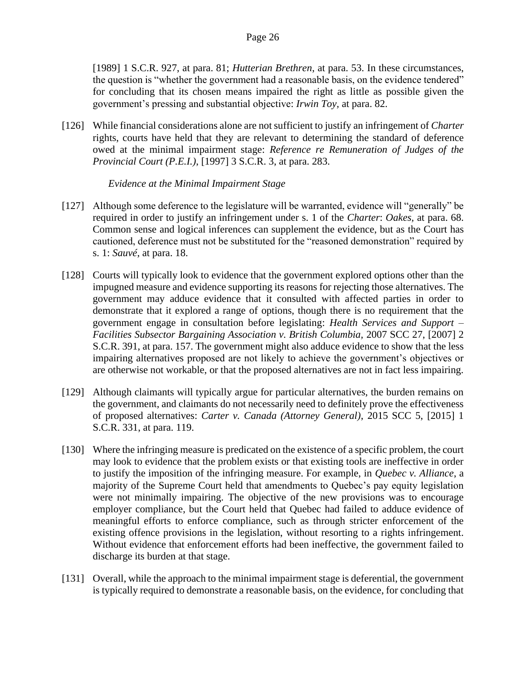[1989] 1 S.C.R. 927, at para. 81; *Hutterian Brethren*, at para. 53. In these circumstances, the question is "whether the government had a reasonable basis, on the evidence tendered" for concluding that its chosen means impaired the right as little as possible given the government's pressing and substantial objective: *Irwin Toy,* at para. 82.

[126] While financial considerations alone are not sufficient to justify an infringement of *Charter*  rights, courts have held that they are relevant to determining the standard of deference owed at the minimal impairment stage: *Reference re Remuneration of Judges of the Provincial Court (P.E.I.)*, [1997] 3 S.C.R. 3, at para. 283.

*Evidence at the Minimal Impairment Stage*

- [127] Although some deference to the legislature will be warranted, evidence will "generally" be required in order to justify an infringement under s. 1 of the *Charter*: *Oakes,* at para. 68. Common sense and logical inferences can supplement the evidence, but as the Court has cautioned, deference must not be substituted for the "reasoned demonstration" required by s. 1: *Sauvé*, at para. 18.
- [128] Courts will typically look to evidence that the government explored options other than the impugned measure and evidence supporting its reasons for rejecting those alternatives. The government may adduce evidence that it consulted with affected parties in order to demonstrate that it explored a range of options, though there is no requirement that the government engage in consultation before legislating: *Health Services and Support – Facilities Subsector Bargaining Association v. British Columbia, 2007 SCC 27, [2007] 2* S.C.R. 391, at para. 157. The government might also adduce evidence to show that the less impairing alternatives proposed are not likely to achieve the government's objectives or are otherwise not workable, or that the proposed alternatives are not in fact less impairing.
- [129] Although claimants will typically argue for particular alternatives, the burden remains on the government, and claimants do not necessarily need to definitely prove the effectiveness of proposed alternatives: *Carter v. Canada (Attorney General)*, 2015 SCC 5, [2015] 1 S.C.R. 331, at para. 119.
- [130] Where the infringing measure is predicated on the existence of a specific problem, the court may look to evidence that the problem exists or that existing tools are ineffective in order to justify the imposition of the infringing measure. For example, in *Quebec v. Alliance*, a majority of the Supreme Court held that amendments to Quebec's pay equity legislation were not minimally impairing. The objective of the new provisions was to encourage employer compliance, but the Court held that Quebec had failed to adduce evidence of meaningful efforts to enforce compliance, such as through stricter enforcement of the existing offence provisions in the legislation, without resorting to a rights infringement. Without evidence that enforcement efforts had been ineffective, the government failed to discharge its burden at that stage.
- [131] Overall, while the approach to the minimal impairment stage is deferential, the government is typically required to demonstrate a reasonable basis, on the evidence, for concluding that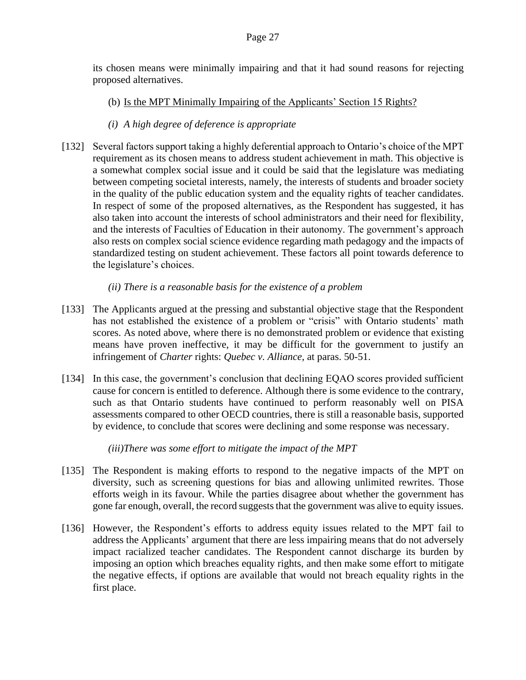its chosen means were minimally impairing and that it had sound reasons for rejecting proposed alternatives.

(b) Is the MPT Minimally Impairing of the Applicants' Section 15 Rights?

# *(i) A high degree of deference is appropriate*

[132] Several factors support taking a highly deferential approach to Ontario's choice of the MPT requirement as its chosen means to address student achievement in math. This objective is a somewhat complex social issue and it could be said that the legislature was mediating between competing societal interests, namely, the interests of students and broader society in the quality of the public education system and the equality rights of teacher candidates. In respect of some of the proposed alternatives, as the Respondent has suggested, it has also taken into account the interests of school administrators and their need for flexibility, and the interests of Faculties of Education in their autonomy. The government's approach also rests on complex social science evidence regarding math pedagogy and the impacts of standardized testing on student achievement. These factors all point towards deference to the legislature's choices.

# *(ii) There is a reasonable basis for the existence of a problem*

- [133] The Applicants argued at the pressing and substantial objective stage that the Respondent has not established the existence of a problem or "crisis" with Ontario students' math scores. As noted above, where there is no demonstrated problem or evidence that existing means have proven ineffective, it may be difficult for the government to justify an infringement of *Charter* rights: *Quebec v. Alliance,* at paras. 50-51.
- [134] In this case, the government's conclusion that declining EQAO scores provided sufficient cause for concern is entitled to deference. Although there is some evidence to the contrary, such as that Ontario students have continued to perform reasonably well on PISA assessments compared to other OECD countries, there is still a reasonable basis, supported by evidence, to conclude that scores were declining and some response was necessary.

*(iii)There was some effort to mitigate the impact of the MPT*

- [135] The Respondent is making efforts to respond to the negative impacts of the MPT on diversity, such as screening questions for bias and allowing unlimited rewrites. Those efforts weigh in its favour. While the parties disagree about whether the government has gone far enough, overall, the record suggests that the government was alive to equity issues.
- [136] However, the Respondent's efforts to address equity issues related to the MPT fail to address the Applicants' argument that there are less impairing means that do not adversely impact racialized teacher candidates. The Respondent cannot discharge its burden by imposing an option which breaches equality rights, and then make some effort to mitigate the negative effects, if options are available that would not breach equality rights in the first place.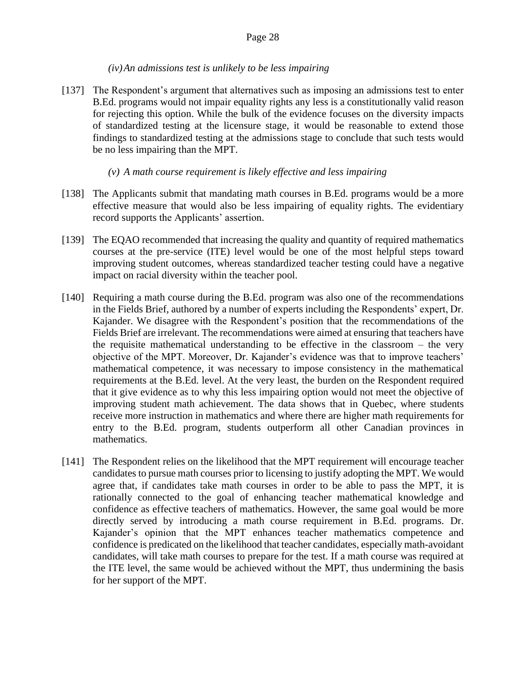## *(iv)An admissions test is unlikely to be less impairing*

[137] The Respondent's argument that alternatives such as imposing an admissions test to enter B.Ed. programs would not impair equality rights any less is a constitutionally valid reason for rejecting this option. While the bulk of the evidence focuses on the diversity impacts of standardized testing at the licensure stage, it would be reasonable to extend those findings to standardized testing at the admissions stage to conclude that such tests would be no less impairing than the MPT.

## *(v) A math course requirement is likely effective and less impairing*

- [138] The Applicants submit that mandating math courses in B.Ed. programs would be a more effective measure that would also be less impairing of equality rights. The evidentiary record supports the Applicants' assertion.
- [139] The EQAO recommended that increasing the quality and quantity of required mathematics courses at the pre-service (ITE) level would be one of the most helpful steps toward improving student outcomes, whereas standardized teacher testing could have a negative impact on racial diversity within the teacher pool.
- [140] Requiring a math course during the B.Ed. program was also one of the recommendations in the Fields Brief, authored by a number of experts including the Respondents' expert, Dr. Kajander. We disagree with the Respondent's position that the recommendations of the Fields Brief are irrelevant. The recommendations were aimed at ensuring that teachers have the requisite mathematical understanding to be effective in the classroom – the very objective of the MPT. Moreover, Dr. Kajander's evidence was that to improve teachers' mathematical competence, it was necessary to impose consistency in the mathematical requirements at the B.Ed. level. At the very least, the burden on the Respondent required that it give evidence as to why this less impairing option would not meet the objective of improving student math achievement. The data shows that in Quebec, where students receive more instruction in mathematics and where there are higher math requirements for entry to the B.Ed. program, students outperform all other Canadian provinces in mathematics.
- [141] The Respondent relies on the likelihood that the MPT requirement will encourage teacher candidates to pursue math courses prior to licensing to justify adopting the MPT. We would agree that, if candidates take math courses in order to be able to pass the MPT, it is rationally connected to the goal of enhancing teacher mathematical knowledge and confidence as effective teachers of mathematics. However, the same goal would be more directly served by introducing a math course requirement in B.Ed. programs. Dr. Kajander's opinion that the MPT enhances teacher mathematics competence and confidence is predicated on the likelihood that teacher candidates, especially math-avoidant candidates, will take math courses to prepare for the test. If a math course was required at the ITE level, the same would be achieved without the MPT, thus undermining the basis for her support of the MPT.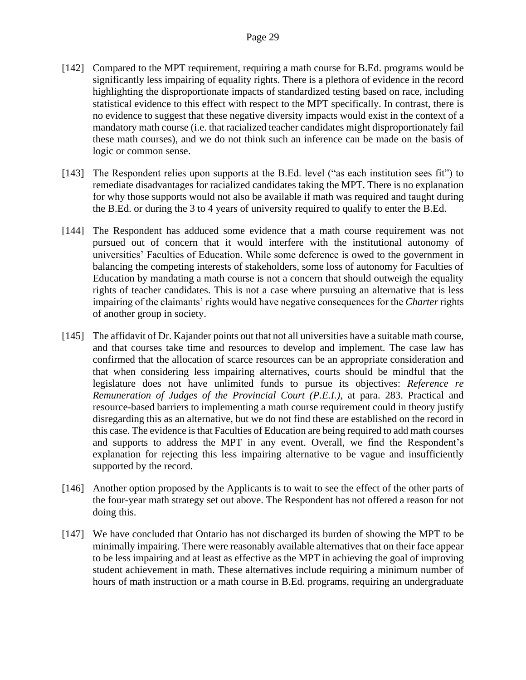- [142] Compared to the MPT requirement, requiring a math course for B.Ed. programs would be significantly less impairing of equality rights. There is a plethora of evidence in the record highlighting the disproportionate impacts of standardized testing based on race, including statistical evidence to this effect with respect to the MPT specifically. In contrast, there is no evidence to suggest that these negative diversity impacts would exist in the context of a mandatory math course (i.e. that racialized teacher candidates might disproportionately fail these math courses), and we do not think such an inference can be made on the basis of logic or common sense.
- [143] The Respondent relies upon supports at the B.Ed. level ("as each institution sees fit") to remediate disadvantages for racialized candidates taking the MPT. There is no explanation for why those supports would not also be available if math was required and taught during the B.Ed. or during the 3 to 4 years of university required to qualify to enter the B.Ed.
- [144] The Respondent has adduced some evidence that a math course requirement was not pursued out of concern that it would interfere with the institutional autonomy of universities' Faculties of Education. While some deference is owed to the government in balancing the competing interests of stakeholders, some loss of autonomy for Faculties of Education by mandating a math course is not a concern that should outweigh the equality rights of teacher candidates. This is not a case where pursuing an alternative that is less impairing of the claimants' rights would have negative consequences for the *Charter* rights of another group in society.
- [145] The affidavit of Dr. Kajander points out that not all universities have a suitable math course, and that courses take time and resources to develop and implement. The case law has confirmed that the allocation of scarce resources can be an appropriate consideration and that when considering less impairing alternatives, courts should be mindful that the legislature does not have unlimited funds to pursue its objectives: *Reference re Remuneration of Judges of the Provincial Court (P.E.I.)*, at para. 283. Practical and resource-based barriers to implementing a math course requirement could in theory justify disregarding this as an alternative, but we do not find these are established on the record in this case. The evidence is that Faculties of Education are being required to add math courses and supports to address the MPT in any event. Overall, we find the Respondent's explanation for rejecting this less impairing alternative to be vague and insufficiently supported by the record.
- [146] Another option proposed by the Applicants is to wait to see the effect of the other parts of the four-year math strategy set out above. The Respondent has not offered a reason for not doing this.
- [147] We have concluded that Ontario has not discharged its burden of showing the MPT to be minimally impairing. There were reasonably available alternatives that on their face appear to be less impairing and at least as effective as the MPT in achieving the goal of improving student achievement in math. These alternatives include requiring a minimum number of hours of math instruction or a math course in B.Ed. programs, requiring an undergraduate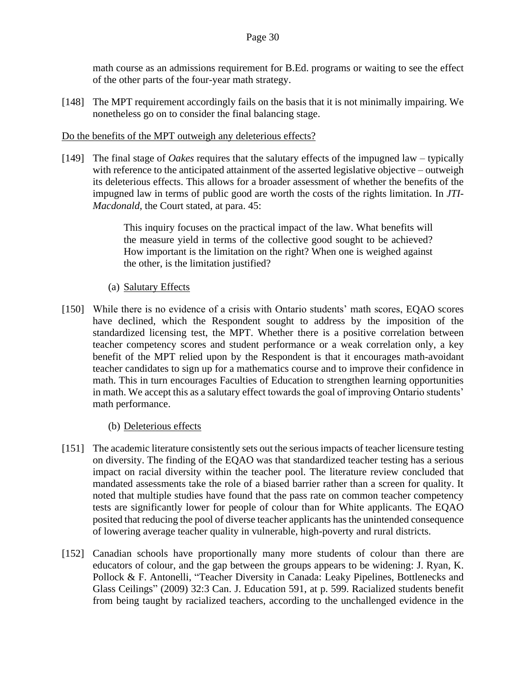math course as an admissions requirement for B.Ed. programs or waiting to see the effect of the other parts of the four-year math strategy.

[148] The MPT requirement accordingly fails on the basis that it is not minimally impairing. We nonetheless go on to consider the final balancing stage.

## Do the benefits of the MPT outweigh any deleterious effects?

[149] The final stage of *Oakes* requires that the salutary effects of the impugned law – typically with reference to the anticipated attainment of the asserted legislative objective – outweigh its deleterious effects. This allows for a broader assessment of whether the benefits of the impugned law in terms of public good are worth the costs of the rights limitation. In *JTI-Macdonald*, the Court stated, at para. 45:

> This inquiry focuses on the practical impact of the law. What benefits will the measure yield in terms of the collective good sought to be achieved? How important is the limitation on the right? When one is weighed against the other, is the limitation justified?

## (a) Salutary Effects

[150] While there is no evidence of a crisis with Ontario students' math scores, EQAO scores have declined, which the Respondent sought to address by the imposition of the standardized licensing test, the MPT. Whether there is a positive correlation between teacher competency scores and student performance or a weak correlation only, a key benefit of the MPT relied upon by the Respondent is that it encourages math-avoidant teacher candidates to sign up for a mathematics course and to improve their confidence in math. This in turn encourages Faculties of Education to strengthen learning opportunities in math. We accept this as a salutary effect towards the goal of improving Ontario students' math performance.

## (b) Deleterious effects

- [151] The academic literature consistently sets out the serious impacts of teacher licensure testing on diversity. The finding of the EQAO was that standardized teacher testing has a serious impact on racial diversity within the teacher pool. The literature review concluded that mandated assessments take the role of a biased barrier rather than a screen for quality. It noted that multiple studies have found that the pass rate on common teacher competency tests are significantly lower for people of colour than for White applicants. The EQAO posited that reducing the pool of diverse teacher applicants has the unintended consequence of lowering average teacher quality in vulnerable, high-poverty and rural districts.
- [152] Canadian schools have proportionally many more students of colour than there are educators of colour, and the gap between the groups appears to be widening: J. Ryan, K. Pollock & F. Antonelli, "Teacher Diversity in Canada: Leaky Pipelines, Bottlenecks and Glass Ceilings" (2009) 32:3 Can. J. Education 591, at p. 599. Racialized students benefit from being taught by racialized teachers, according to the unchallenged evidence in the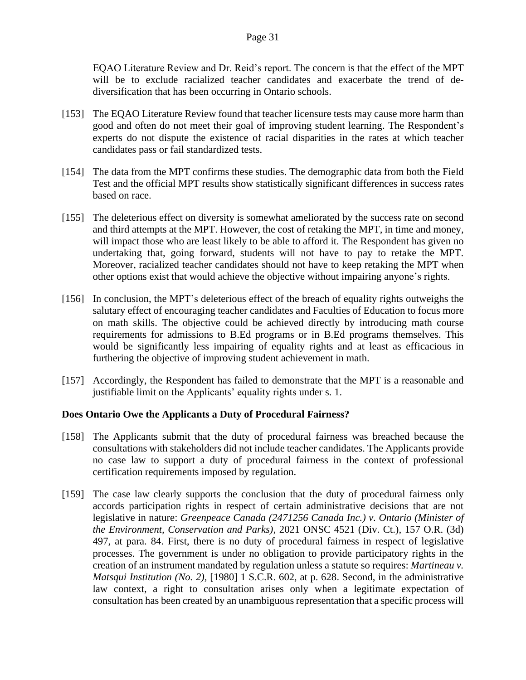EQAO Literature Review and Dr. Reid's report. The concern is that the effect of the MPT will be to exclude racialized teacher candidates and exacerbate the trend of dediversification that has been occurring in Ontario schools.

- [153] The EQAO Literature Review found that teacher licensure tests may cause more harm than good and often do not meet their goal of improving student learning. The Respondent's experts do not dispute the existence of racial disparities in the rates at which teacher candidates pass or fail standardized tests.
- [154] The data from the MPT confirms these studies. The demographic data from both the Field Test and the official MPT results show statistically significant differences in success rates based on race.
- [155] The deleterious effect on diversity is somewhat ameliorated by the success rate on second and third attempts at the MPT. However, the cost of retaking the MPT, in time and money, will impact those who are least likely to be able to afford it. The Respondent has given no undertaking that, going forward, students will not have to pay to retake the MPT. Moreover, racialized teacher candidates should not have to keep retaking the MPT when other options exist that would achieve the objective without impairing anyone's rights.
- [156] In conclusion, the MPT's deleterious effect of the breach of equality rights outweighs the salutary effect of encouraging teacher candidates and Faculties of Education to focus more on math skills. The objective could be achieved directly by introducing math course requirements for admissions to B.Ed programs or in B.Ed programs themselves. This would be significantly less impairing of equality rights and at least as efficacious in furthering the objective of improving student achievement in math.
- [157] Accordingly, the Respondent has failed to demonstrate that the MPT is a reasonable and justifiable limit on the Applicants' equality rights under s. 1.

## **Does Ontario Owe the Applicants a Duty of Procedural Fairness?**

- [158] The Applicants submit that the duty of procedural fairness was breached because the consultations with stakeholders did not include teacher candidates. The Applicants provide no case law to support a duty of procedural fairness in the context of professional certification requirements imposed by regulation.
- [159] The case law clearly supports the conclusion that the duty of procedural fairness only accords participation rights in respect of certain administrative decisions that are not legislative in nature: *Greenpeace Canada (2471256 Canada Inc.) v. Ontario (Minister of the Environment, Conservation and Parks),* 2021 ONSC 4521 (Div. Ct.), 157 O.R. (3d) 497, at para. 84. First, there is no duty of procedural fairness in respect of legislative processes. The government is under no obligation to provide participatory rights in the creation of an instrument mandated by regulation unless a statute so requires: *Martineau v. Matsqui Institution (No. 2),* [1980] 1 S.C.R. 602, at p. 628. Second, in the administrative law context, a right to consultation arises only when a legitimate expectation of consultation has been created by an unambiguous representation that a specific process will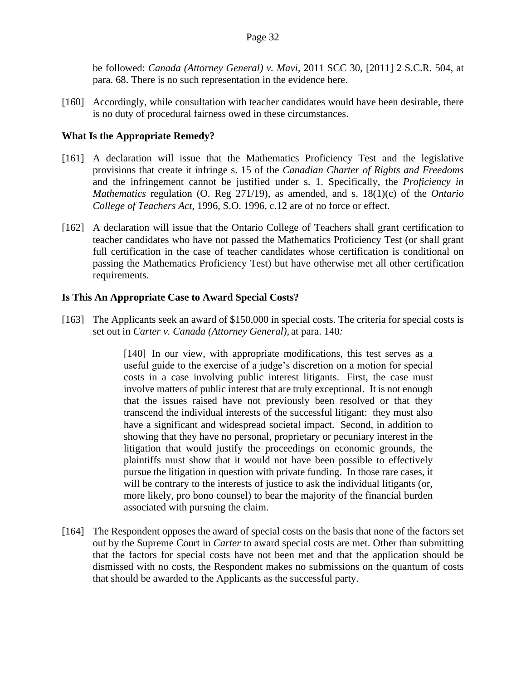be followed: *Canada (Attorney General) v. Mavi,* 2011 SCC 30, [2011] 2 S.C.R. 504, at para. 68. There is no such representation in the evidence here.

[160] Accordingly, while consultation with teacher candidates would have been desirable, there is no duty of procedural fairness owed in these circumstances.

#### **What Is the Appropriate Remedy?**

- [161] A declaration will issue that the Mathematics Proficiency Test and the legislative provisions that create it infringe s. 15 of the *Canadian Charter of Rights and Freedoms* and the infringement cannot be justified under s. 1. Specifically, the *Proficiency in Mathematics* regulation (O. Reg 271/19), as amended, and s. 18(1)(c) of the *Ontario College of Teachers Act*, 1996, S.O. 1996, c.12 are of no force or effect.
- [162] A declaration will issue that the Ontario College of Teachers shall grant certification to teacher candidates who have not passed the Mathematics Proficiency Test (or shall grant full certification in the case of teacher candidates whose certification is conditional on passing the Mathematics Proficiency Test) but have otherwise met all other certification requirements.

#### **Is This An Appropriate Case to Award Special Costs?**

[163] The Applicants seek an award of \$150,000 in special costs. The criteria for special costs is set out in *Carter v. Canada (Attorney General),* at para. 140*:*

> [140] In our view, with appropriate modifications, this test serves as a useful guide to the exercise of a judge's discretion on a motion for special costs in a case involving public interest litigants. First, the case must involve matters of public interest that are truly exceptional. It is not enough that the issues raised have not previously been resolved or that they transcend the individual interests of the successful litigant: they must also have a significant and widespread societal impact. Second, in addition to showing that they have no personal, proprietary or pecuniary interest in the litigation that would justify the proceedings on economic grounds, the plaintiffs must show that it would not have been possible to effectively pursue the litigation in question with private funding. In those rare cases, it will be contrary to the interests of justice to ask the individual litigants (or, more likely, pro bono counsel) to bear the majority of the financial burden associated with pursuing the claim.

[164] The Respondent opposes the award of special costs on the basis that none of the factors set out by the Supreme Court in *Carter* to award special costs are met. Other than submitting that the factors for special costs have not been met and that the application should be dismissed with no costs, the Respondent makes no submissions on the quantum of costs that should be awarded to the Applicants as the successful party.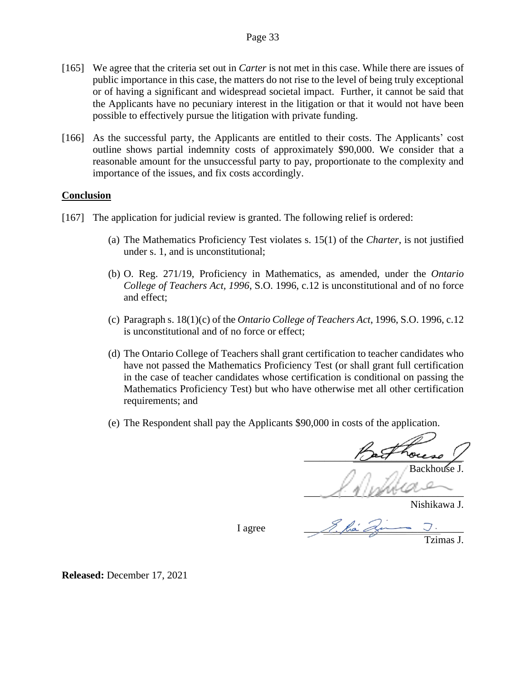- [165] We agree that the criteria set out in *Carter* is not met in this case. While there are issues of public importance in this case, the matters do not rise to the level of being truly exceptional or of having a significant and widespread societal impact. Further, it cannot be said that the Applicants have no pecuniary interest in the litigation or that it would not have been possible to effectively pursue the litigation with private funding.
- [166] As the successful party, the Applicants are entitled to their costs. The Applicants' cost outline shows partial indemnity costs of approximately \$90,000. We consider that a reasonable amount for the unsuccessful party to pay, proportionate to the complexity and importance of the issues, and fix costs accordingly.

#### **Conclusion**

- [167] The application for judicial review is granted. The following relief is ordered:
	- (a) The Mathematics Proficiency Test violates s. 15(1) of the *Charter*, is not justified under s. 1, and is unconstitutional;
	- (b) O. Reg. 271/19, Proficiency in Mathematics, as amended, under the *Ontario College of Teachers Act, 1996*, S.O. 1996, c.12 is unconstitutional and of no force and effect;
	- (c) Paragraph s. 18(1)(c) of the *Ontario College of Teachers Act*, 1996, S.O. 1996, c.12 is unconstitutional and of no force or effect;
	- (d) The Ontario College of Teachers shall grant certification to teacher candidates who have not passed the Mathematics Proficiency Test (or shall grant full certification in the case of teacher candidates whose certification is conditional on passing the Mathematics Proficiency Test) but who have otherwise met all other certification requirements; and
	- (e) The Respondent shall pay the Applicants \$90,000 in costs of the application.

 $\sqrt{a}$  ocesso  $\sqrt{a}$ Backhouse J.

 $\mathcal{A}$ . Il proven

Nishikawa J.

I agree

Tzimas J.

**Released:** December 17, 2021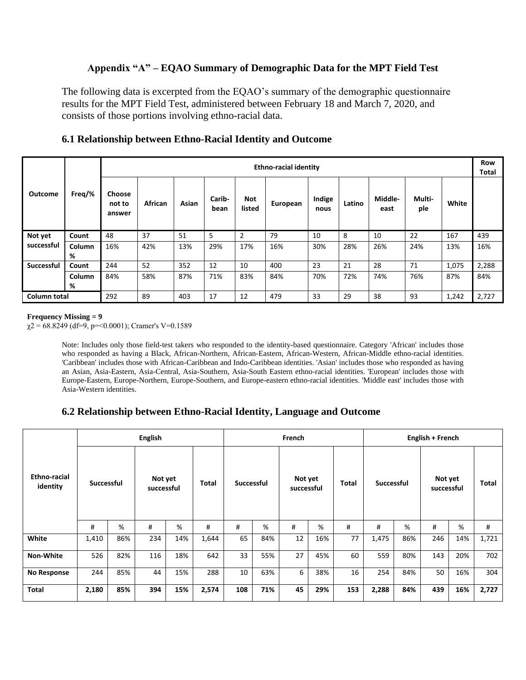# **Appendix "A" – EQAO Summary of Demographic Data for the MPT Field Test**

The following data is excerpted from the EQAO's summary of the demographic questionnaire results for the MPT Field Test, administered between February 18 and March 7, 2020, and consists of those portions involving ethno-racial data.

|                     |        | <b>Ethno-racial identity</b> |         |       |                |                      |          |                |        |                 |               |       |       |  |  |
|---------------------|--------|------------------------------|---------|-------|----------------|----------------------|----------|----------------|--------|-----------------|---------------|-------|-------|--|--|
|                     |        |                              |         |       |                |                      |          |                |        |                 |               |       |       |  |  |
| <b>Outcome</b>      | Freg/% | Choose<br>not to<br>answer   | African | Asian | Carib-<br>bean | <b>Not</b><br>listed | European | Indige<br>nous | Latino | Middle-<br>east | Multi-<br>ple | White |       |  |  |
| Not yet             | Count  | 48                           | 37      | 51    | 5              | 2                    | 79       | 10             | 8      | 10              | 22            | 167   | 439   |  |  |
| successful          | Column | 16%                          | 42%     | 13%   | 29%            | 17%                  | 16%      | 30%            | 28%    | 26%             | 24%           | 13%   | 16%   |  |  |
|                     | %      |                              |         |       |                |                      |          |                |        |                 |               |       |       |  |  |
| Successful          | Count  | 244                          | 52      | 352   | 12             | 10                   | 400      | 23             | 21     | 28              | 71            | 1,075 | 2,288 |  |  |
|                     | Column | 84%                          | 58%     | 87%   | 71%            | 83%                  | 84%      | 70%            | 72%    | 74%             | 76%           | 87%   | 84%   |  |  |
|                     | %      |                              |         |       |                |                      |          |                |        |                 |               |       |       |  |  |
| <b>Column total</b> |        | 292                          | 89      | 403   | 17             | 12                   | 479      | 33             | 29     | 38              | 93            | 1,242 | 2,727 |  |  |

#### **6.1 Relationship between Ethno-Racial Identity and Outcome**

#### **Frequency Missing = 9**

 $\chi$ 2 = 68.8249 (df=9, p=<0.0001); Cramer's V=0.1589

Note: Includes only those field-test takers who responded to the identity-based questionnaire. Category 'African' includes those who responded as having a Black, African-Northern, African-Eastern, African-Western, African-Middle ethno-racial identities. 'Caribbean' includes those with African-Caribbean and Indo-Caribbean identities. 'Asian' includes those who responded as having an Asian, Asia-Eastern, Asia-Central, Asia-Southern, Asia-South Eastern ethno-racial identities. 'European' includes those with Europe-Eastern, Europe-Northern, Europe-Southern, and Europe-eastern ethno-racial identities. 'Middle east' includes those with Asia-Western identities.

## **6.2 Relationship between Ethno-Racial Identity, Language and Outcome**

|                                 |                   |     |                       | French |              |            | English + French |                       |     |       |                   |     |                       |     |       |
|---------------------------------|-------------------|-----|-----------------------|--------|--------------|------------|------------------|-----------------------|-----|-------|-------------------|-----|-----------------------|-----|-------|
| <b>Ethno-racial</b><br>identity | <b>Successful</b> |     | Not yet<br>successful |        | <b>Total</b> | Successful |                  | Not yet<br>successful |     | Total | <b>Successful</b> |     | Not yet<br>successful |     | Total |
|                                 | #                 | %   | #                     | %      | #            | #          | %                | #                     | %   | #     | #                 | %   | #                     | %   | #     |
| White                           | 1,410             | 86% | 234                   | 14%    | 1,644        | 65         | 84%              | 12                    | 16% | 77    | 1,475             | 86% | 246                   | 14% | 1,721 |
| <b>Non-White</b>                | 526               | 82% | 116                   | 18%    | 642          | 33         | 55%              | 27                    | 45% | 60    | 559               | 80% | 143                   | 20% | 702   |
| <b>No Response</b>              | 244               | 85% | 44                    | 15%    | 288          | 10         | 63%              | 6                     | 38% | 16    | 254               | 84% | 50                    | 16% | 304   |
| <b>Total</b>                    | 2,180             | 85% | 394                   | 15%    | 2,574        | 108        | 71%              | 45                    | 29% | 153   | 2,288             | 84% | 439                   | 16% | 2,727 |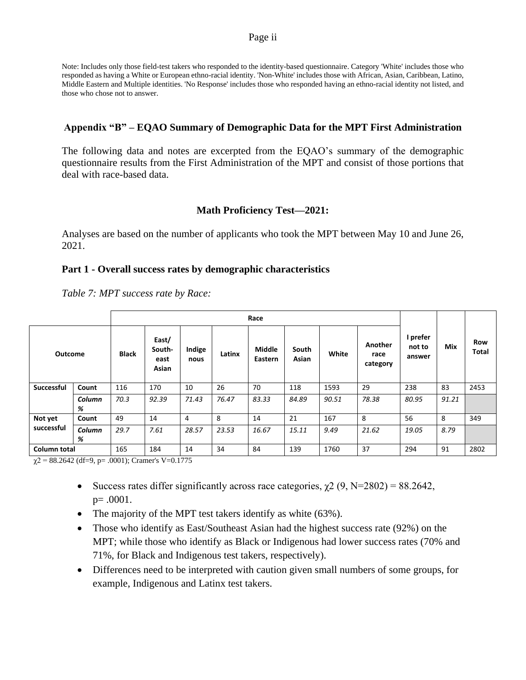#### Page ii

Note: Includes only those field-test takers who responded to the identity-based questionnaire. Category 'White' includes those who responded as having a White or European ethno-racial identity. 'Non-White' includes those with African, Asian, Caribbean, Latino, Middle Eastern and Multiple identities. 'No Response' includes those who responded having an ethno-racial identity not listed, and those who chose not to answer.

#### **Appendix "B" – EQAO Summary of Demographic Data for the MPT First Administration**

The following data and notes are excerpted from the EQAO's summary of the demographic questionnaire results from the First Administration of the MPT and consist of those portions that deal with race-based data.

## **Math Proficiency Test—2021:**

Analyses are based on the number of applicants who took the MPT between May 10 and June 26, 2021.

#### **Part 1 - Overall success rates by demographic characteristics**

*Table 7: MPT success rate by Race:*

| <b>Outcome</b> |             | <b>Black</b> | East/<br>South-<br>east<br>Asian | Indige<br>nous | Latinx | <b>Middle</b><br>Eastern | South<br><b>Asian</b> | White | Another<br>race<br>category | I prefer<br>not to<br>answer | Mix   | Row<br>Total |
|----------------|-------------|--------------|----------------------------------|----------------|--------|--------------------------|-----------------------|-------|-----------------------------|------------------------------|-------|--------------|
| Successful     | Count       | 116          | 170                              | 10             | 26     | 70                       | 118                   | 1593  | 29                          | 238                          | 83    | 2453         |
|                | Column<br>% | 70.3         | 92.39                            | 71.43          | 76.47  | 83.33                    | 84.89                 | 90.51 | 78.38                       | 80.95                        | 91.21 |              |
| Not yet        | Count       | 49           | 14                               | 4              | 8      | 14                       | 21                    | 167   | 8                           | 56                           | 8     | 349          |
| successful     | Column<br>% | 29.7         | 7.61                             | 28.57          | 23.53  | 16.67                    | 15.11                 | 9.49  | 21.62                       | 19.05                        | 8.79  |              |
| Column total   |             | 165          | 184                              | 14             | 34     | 84                       | 139                   | 1760  | 37                          | 294                          | 91    | 2802         |

 $\gamma$ 2 = 88.2642 (df=9, p= .0001); Cramer's V=0.1775

- Success rates differ significantly across race categories,  $\chi$ 2 (9, N=2802) = 88.2642, p= .0001.
- The majority of the MPT test takers identify as white (63%).
- Those who identify as East/Southeast Asian had the highest success rate (92%) on the MPT; while those who identify as Black or Indigenous had lower success rates (70% and 71%, for Black and Indigenous test takers, respectively).
- Differences need to be interpreted with caution given small numbers of some groups, for example, Indigenous and Latinx test takers.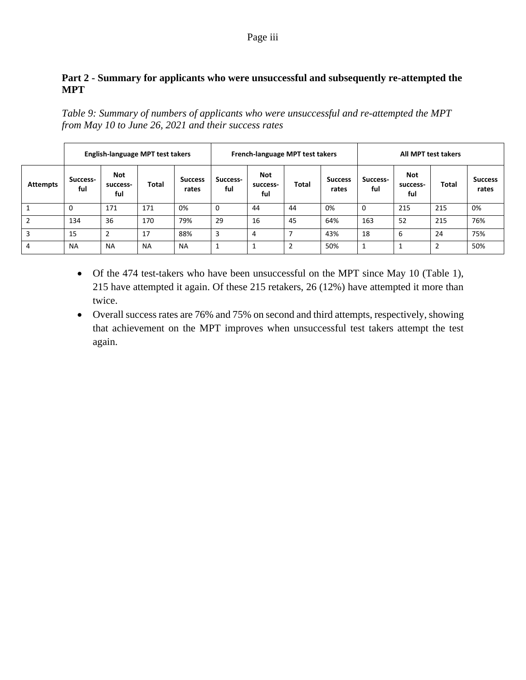## Page iii

# **Part 2 - Summary for applicants who were unsuccessful and subsequently re-attempted the MPT**

*Table 9: Summary of numbers of applicants who were unsuccessful and re-attempted the MPT from May 10 to June 26, 2021 and their success rates*

|                 |                 |                        | English-language MPT test takers |                         |                 | French-language MPT test takers |       |                         | All MPT test takers |                               |       |                         |  |
|-----------------|-----------------|------------------------|----------------------------------|-------------------------|-----------------|---------------------------------|-------|-------------------------|---------------------|-------------------------------|-------|-------------------------|--|
| <b>Attempts</b> | Success-<br>ful | Not<br>success-<br>ful | Total                            | <b>Success</b><br>rates | Success-<br>ful | Not<br>success-<br>ful          | Total | <b>Success</b><br>rates | Success-<br>ful     | <b>Not</b><br>success-<br>ful | Total | <b>Success</b><br>rates |  |
|                 | 0               | 171                    | 171                              | 0%                      | U               | 44                              | 44    | 0%                      | $\Omega$            | 215                           | 215   | 0%                      |  |
| $\overline{2}$  | 134             | 36                     | 170                              | 79%                     | 29              | 16                              | 45    | 64%                     | 163                 | 52                            | 215   | 76%                     |  |
| 3               | 15              | $\overline{2}$         | 17                               | 88%                     | 3               | 4                               |       | 43%                     | 18                  | 6                             | 24    | 75%                     |  |
| 4               | <b>NA</b>       | <b>NA</b>              | <b>NA</b>                        | <b>NA</b>               | 1               |                                 | 2     | 50%                     | 1                   |                               | 2     | 50%                     |  |

- Of the 474 test-takers who have been unsuccessful on the MPT since May 10 (Table 1), 215 have attempted it again. Of these 215 retakers, 26 (12%) have attempted it more than twice.
- Overall success rates are 76% and 75% on second and third attempts, respectively, showing that achievement on the MPT improves when unsuccessful test takers attempt the test again.